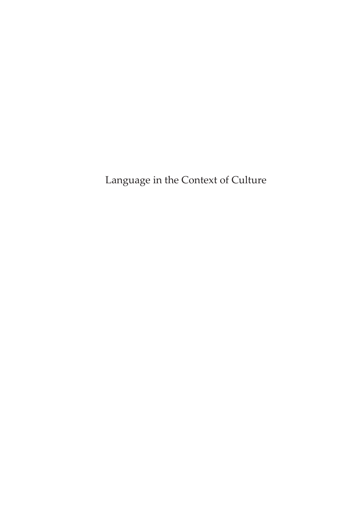Language in the Context of Culture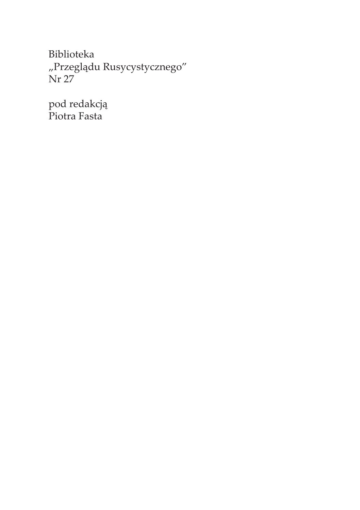Biblioteka "Przeglądu Rusycystycznego" Nr 27

pod redakcją Piotra Fasta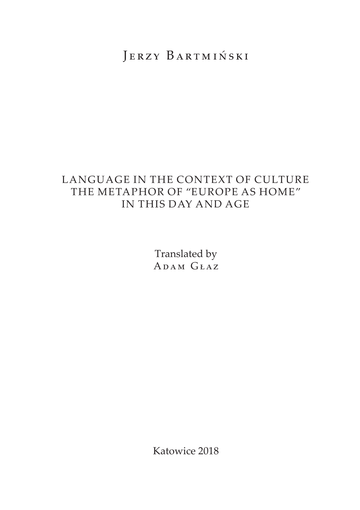# JERZY BARTMIŃSKI

## LANGUAGE IN THE CONTEXT OF CULTURE THE METAPHOR OF "EUROPE AS HOME" IN THIS DAY AND AGE

Translated by Adam Głaz

Katowice 2018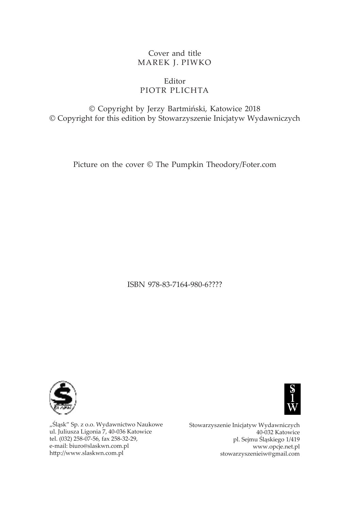### Cover and title MAREK J. PIWKO

## Editor PIOTR PLICHTA

© Copyright by Jerzy Bartmiński, Katowice 2018 © Copyright for this edition by Stowarzyszenie Inicjatyw Wydawniczych

Picture on the cover © The Pumpkin Theodory/Foter.com

ISBN 978-83-7164-980-6????



"Śląsk" Sp. z o.o. Wydawnictwo Naukowe ul. Juliusza Ligonia 7, 40-036 Katowice tel. (032) 258-07-56, fax 258-32-29, e-mail: biuro@slaskwn.com.pl http://www.slaskwn.com.pl



Stowarzyszenie Inicjatyw Wydawniczych 40-032 Katowice pl. Sejmu Śląskiego 1/419 www.opcje.net.pl stowarzyszenieiw@gmail.com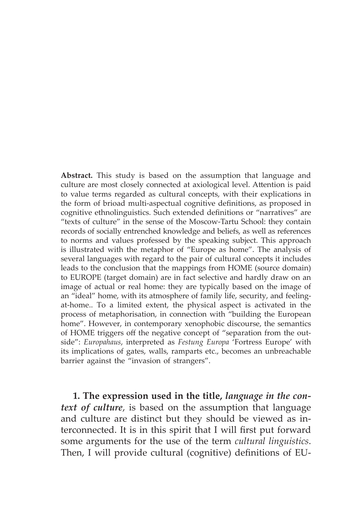**Abstract.** This study is based on the assumption that language and culture are most closely connected at axiological level. Attention is paid to value terms regarded as cultural concepts, with their explications in the form of brioad multi-aspectual cognitive definitions, as proposed in cognitive ethnolinguistics. Such extended definitions or "narratives" are "texts of culture" in the sense of the Moscow-Tartu School: they contain records of socially entrenched knowledge and beliefs, as well as references to norms and values professed by the speaking subject. This approach is illustrated with the metaphor of "Europe as home". The analysis of several languages with regard to the pair of cultural concepts it includes leads to the conclusion that the mappings from HOME (source domain) to EUROPE (target domain) are in fact selective and hardly draw on an image of actual or real home: they are typically based on the image of an "ideal" home, with its atmosphere of family life, security, and feelingat-home.. To a limited extent, the physical aspect is activated in the process of metaphorisation, in connection with "building the European home". However, in contemporary xenophobic discourse, the semantics of HOME triggers off the negative concept of "separation from the outside": *Europahaus*, interpreted as *Festung Europa* 'Fortress Europe' with its implications of gates, walls, ramparts etc., becomes an unbreachable barrier against the "invasion of strangers".

**1. The expression used in the title,** *language in the context of culture*, is based on the assumption that language and culture are distinct but they should be viewed as interconnected. It is in this spirit that I will first put forward some arguments for the use of the term *cultural linguistics*. Then, I will provide cultural (cognitive) definitions of EU-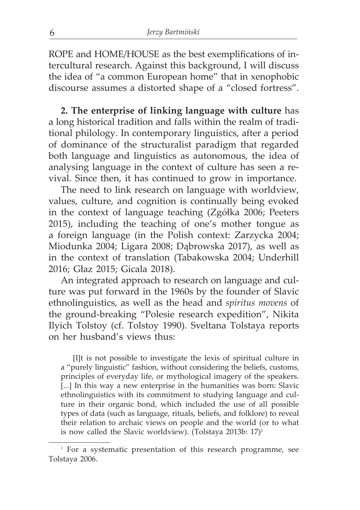ROPE and HOME/HOUSE as the best exemplifications of intercultural research. Against this background, I will discuss the idea of "a common European home" that in xenophobic discourse assumes a distorted shape of a "closed fortress".

**2. The enterprise of linking language with culture** has a long historical tradition and falls within the realm of traditional philology. In contemporary linguistics, after a period of dominance of the structuralist paradigm that regarded both language and linguistics as autonomous, the idea of analysing language in the context of culture has seen a revival. Since then, it has continued to grow in importance.

The need to link research on language with worldview, values, culture, and cognition is continually being evoked in the context of language teaching (Zgółka 2006; Peeters 2015), including the teaching of one's mother tongue as a foreign language (in the Polish context: Zarzycka 2004; Miodunka 2004; Ligara 2008; Dąbrowska 2017), as well as in the context of translation (Tabakowska 2004; Underhill 2016; Głaz 2015; Gicala 2018).

An integrated approach to research on language and culture was put forward in the 1960s by the founder of Slavic ethnolinguistics, as well as the head and *spiritus movens* of the ground-breaking "Polesie research expedition", Nikita Ilyich Tolstoy (cf. Tolstoy 1990). Sveltana Tolstaya reports on her husband's views thus:

[I]t is not possible to investigate the lexis of spiritual culture in a "purely linguistic" fashion, without considering the beliefs, customs, principles of everyday life, or mythological imagery of the speakers. [...] In this way a new enterprise in the humanities was born: Slavic ethnolinguistics with its commitment to studying language and culture in their organic bond, which included the use of all possible types of data (such as language, rituals, beliefs, and folklore) to reveal their relation to archaic views on people and the world (or to what is now called the Slavic worldview). (Tolstaya 2013b:  $17$ )<sup>1</sup>

<sup>&</sup>lt;sup>1</sup> For a systematic presentation of this research programme, see Tolstaya 2006.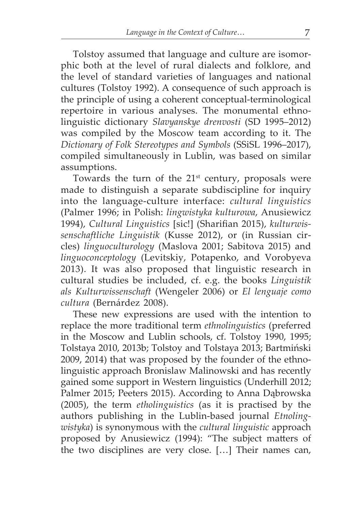Tolstoy assumed that language and culture are isomorphic both at the level of rural dialects and folklore, and the level of standard varieties of languages and national cultures (Tolstoy 1992). A consequence of such approach is the principle of using a coherent conceptual-terminological repertoire in various analyses. The monumental ethnolinguistic dictionary *Slavyanskye drenvosti* (SD 1995–2012) was compiled by the Moscow team according to it. The *Dictionary of Folk Stereotypes and Symbols* (SSiSL 1996–2017), compiled simultaneously in Lublin, was based on similar assumptions.

Towards the turn of the  $21<sup>st</sup>$  century, proposals were made to distinguish a separate subdiscipline for inquiry into the language-culture interface: *cultural linguistics*  (Palmer 1996; in Polish: *lingwistyka kulturowa*, Anusiewicz 1994), *Cultural Linguistics* [sic!] (Sharifian 2015), *kulturwissenschaftliche Linguistik* (Kusse 2012), or (in Russian circles) *linguoculturology* (Maslova 2001; Sabitova 2015) and *linguoconceptology* (Levitskiy, Potapenko, and Vorobyeva 2013). It was also proposed that linguistic research in cultural studies be included, cf. e.g. the books *Linguistik als Kulturwissenschaft* (Wengeler 2006) or *El lenguaje como cultura* (Bernárdez 2008).

These new expressions are used with the intention to replace the more traditional term *ethnolinguistics* (preferred in the Moscow and Lublin schools, cf. Tolstoy 1990, 1995; Tolstaya 2010, 2013b; Tolstoy and Tolstaya 2013; Bartmiński 2009, 2014) that was proposed by the founder of the ethnolinguistic approach Bronislaw Malinowski and has recently gained some support in Western linguistics (Underhill 2012; Palmer 2015; Peeters 2015). According to Anna Dąbrowska (2005), the term *etholinguistics* (as it is practised by the authors publishing in the Lublin-based journal *Etnolingwistyka*) is synonymous with the *cultural linguistic* approach proposed by Anusiewicz (1994): "The subject matters of the two disciplines are very close. […] Their names can,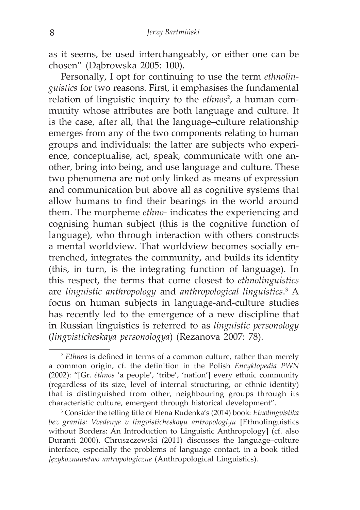as it seems, be used interchangeably, or either one can be chosen" (Dąbrowska 2005: 100).

Personally, I opt for continuing to use the term *ethnolinguistics* for two reasons. First, it emphasises the fundamental relation of linguistic inquiry to the *ethnos*<sup>2</sup> , a human community whose attributes are both language and culture. It is the case, after all, that the language–culture relationship emerges from any of the two components relating to human groups and individuals: the latter are subjects who experience, conceptualise, act, speak, communicate with one another, bring into being, and use language and culture. These two phenomena are not only linked as means of expression and communication but above all as cognitive systems that allow humans to find their bearings in the world around them. The morpheme *ethno-* indicates the experiencing and cognising human subject (this is the cognitive function of language), who through interaction with others constructs a mental worldview. That worldview becomes socially entrenched, integrates the community, and builds its identity (this, in turn, is the integrating function of language). In this respect, the terms that come closest to *ethnolinguistics* are *linguistic anthropology* and *anthropological linguistics*. 3 A focus on human subjects in language-and-culture studies has recently led to the emergence of a new discipline that in Russian linguistics is referred to as *linguistic personology* (*lingvisticheskaya personologya*) (Rezanova 2007: 78).

<sup>&</sup>lt;sup>2</sup> *Ethnos* is defined in terms of a common culture, rather than merely a common origin, cf. the definition in the Polish *Encyklopedia PWN* (2002): "[Gr. *éthnos* 'a people', 'tribe', 'nation'] every ethnic community (regardless of its size, level of internal structuring, or ethnic identity) that is distinguished from other, neighbouring groups through its characteristic culture, emergent through historical development".

<sup>3</sup> Consider the telling title of Elena Rudenka's (2014) book: *Etnolingvistika bez granits: Vvedenye v lingvisticheskoyu antropologiyu* [Ethnolinguistics without Borders: An Introduction to Linguistic Anthropology] (cf. also Duranti 2000). Chruszczewski (2011) discusses the language–culture interface, especially the problems of language contact, in a book titled *Językoznawstwo antropologiczne* (Anthropological Linguistics).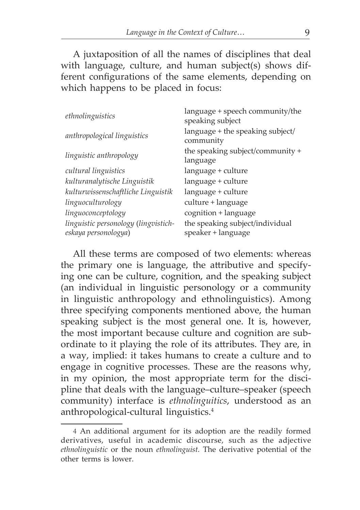A juxtaposition of all the names of disciplines that deal with language, culture, and human subject(s) shows different configurations of the same elements, depending on which happens to be placed in focus:

| ethnolinguistics                                             | language + speech community/the<br>speaking subject   |
|--------------------------------------------------------------|-------------------------------------------------------|
| anthropological linguistics                                  | language + the speaking subject/<br>community         |
| linguistic anthropology                                      | the speaking subject/community +<br>language          |
| cultural linguistics                                         | language + culture                                    |
| kulturanalytische Linguistik                                 | language + culture                                    |
| kulturwissenschaftliche Linguistik                           | language + culture                                    |
| linguoculturology                                            | culture + language                                    |
| linguoconceptology                                           | cognition + language                                  |
| linguistic personology (lingvistich-<br>eskaya personologya) | the speaking subject/individual<br>speaker + language |

All these terms are composed of two elements: whereas the primary one is language, the attributive and specifying one can be culture, cognition, and the speaking subject (an individual in linguistic personology or a community in linguistic anthropology and ethnolinguistics). Among three specifying components mentioned above, the human speaking subject is the most general one. It is, however, the most important because culture and cognition are subordinate to it playing the role of its attributes. They are, in a way, implied: it takes humans to create a culture and to engage in cognitive processes. These are the reasons why, in my opinion, the most appropriate term for the discipline that deals with the language–culture–speaker (speech community) interface is *ethnolinguitics*, understood as an anthropological-cultural linguistics.4

<sup>4</sup> An additional argument for its adoption are the readily formed derivatives, useful in academic discourse, such as the adjective *ethnolinguistic* or the noun *ethnolinguist.* The derivative potential of the other terms is lower.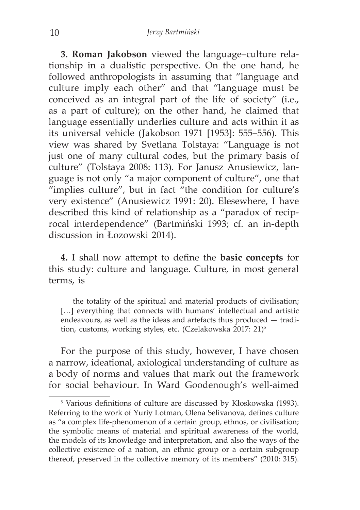**3. Roman Jakobson** viewed the language–culture relationship in a dualistic perspective. On the one hand, he followed anthropologists in assuming that "language and culture imply each other" and that "language must be conceived as an integral part of the life of society" (i.e., as a part of culture); on the other hand, he claimed that language essentially underlies culture and acts within it as its universal vehicle (Jakobson 1971 [1953]: 555–556). This view was shared by Svetlana Tolstaya: "Language is not just one of many cultural codes, but the primary basis of culture" (Tolstaya 2008: 113). For Janusz Anusiewicz, language is not only "a major component of culture", one that "implies culture", but in fact "the condition for culture's very existence" (Anusiewicz 1991: 20). Elesewhere, I have described this kind of relationship as a "paradox of reciprocal interdependence" (Bartmiński 1993; cf. an in-depth discussion in Łozowski 2014).

**4. I** shall now attempt to define the **basic concepts** for this study: culture and language. Culture, in most general terms, is

the totality of the spiritual and material products of civilisation; [...] everything that connects with humans' intellectual and artistic endeavours, as well as the ideas and artefacts thus produced — tradition, customs, working styles, etc. (Czelakowska 2017: 21)<sup>5</sup>

For the purpose of this study, however, I have chosen a narrow, ideational, axiological understanding of culture as a body of norms and values that mark out the framework for social behaviour. In Ward Goodenough's well-aimed

<sup>&</sup>lt;sup>5</sup> Various definitions of culture are discussed by Kłoskowska (1993). Referring to the work of Yuriy Lotman, Olena Selivanova, defines culture as "a complex life-phenomenon of a certain group, ethnos, or civilisation; the symbolic means of material and spiritual awareness of the world, the models of its knowledge and interpretation, and also the ways of the collective existence of a nation, an ethnic group or a certain subgroup thereof, preserved in the collective memory of its members" (2010: 315).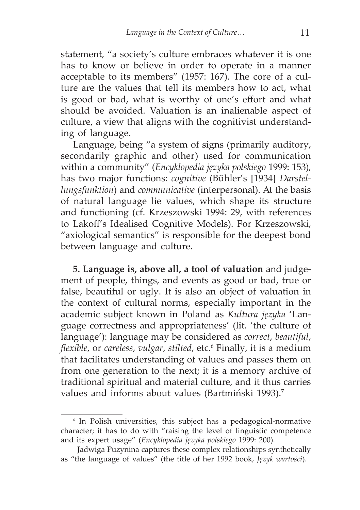statement, "a society's culture embraces whatever it is one has to know or believe in order to operate in a manner acceptable to its members" (1957: 167). The core of a culture are the values that tell its members how to act, what is good or bad, what is worthy of one's effort and what should be avoided. Valuation is an inalienable aspect of culture, a view that aligns with the cognitivist understanding of language.

Language, being "a system of signs (primarily auditory, secondarily graphic and other) used for communication within a community" (*Encyklopedia języka polskiego* 1999: 153), has two major functions: *cognitive* (Bühler's [1934] *Darstellungsfunktion*) and *communicative* (interpersonal). At the basis of natural language lie values, which shape its structure and functioning (cf. Krzeszowski 1994: 29, with references to Lakoff's Idealised Cognitive Models). For Krzeszowski, "axiological semantics" is responsible for the deepest bond between language and culture.

**5. Language is, above all, a tool of valuation** and judgement of people, things, and events as good or bad, true or false, beautiful or ugly. It is also an object of valuation in the context of cultural norms, especially important in the academic subject known in Poland as *Kultura języka* 'Language correctness and appropriateness' (lit. 'the culture of language'): language may be considered as *correct*, *beautiful*, *flexible*, or *careless*, *vulgar*, *stilted*, etc.6 Finally, it is a medium that facilitates understanding of values and passes them on from one generation to the next; it is a memory archive of traditional spiritual and material culture, and it thus carries values and informs about values (Bartmiński 1993).<sup>7</sup>

<sup>6</sup> In Polish universities, this subject has a pedagogical-normative character; it has to do with "raising the level of linguistic competence and its expert usage" (*Encyklopedia języka polskiego* 1999: 200).

Jadwiga Puzynina captures these complex relationships synthetically as "the language of values" (the title of her 1992 book, *Język wartości*).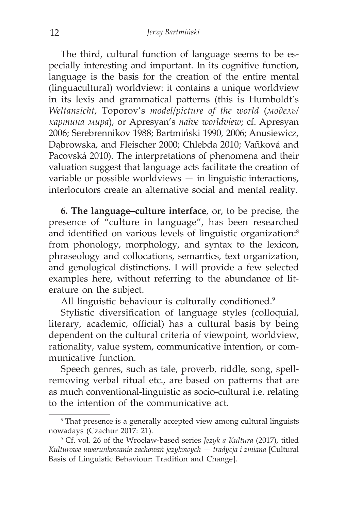The third, cultural function of language seems to be especially interesting and important. In its cognitive function, language is the basis for the creation of the entire mental (linguacultural) worldview: it contains a unique worldview in its lexis and grammatical patterns (this is Humboldt's *Weltansicht*, Toporov's *model*/*picture of the world* (*модель/ картинa мира*), or Apresyan's *naïve worldview*; cf. Apresyan 2006; Serebrennikov 1988; Bartmiński 1990, 2006; Anusiewicz, Dąbrowska, and Fleischer 2000; Chlebda 2010; Vañková and Pacovská 2010). The interpretations of phenomena and their valuation suggest that language acts facilitate the creation of variable or possible worldviews — in linguistic interactions, interlocutors create an alternative social and mental reality.

**6. The language–culture interface**, or, to be precise, the presence of "culture in language", has been researched and identified on various levels of linguistic organization:<sup>8</sup> from phonology, morphology, and syntax to the lexicon, phraseology and collocations, semantics, text organization, and genological distinctions. I will provide a few selected examples here, without referring to the abundance of literature on the subject.

All linguistic behaviour is culturally conditioned.<sup>9</sup>

Stylistic diversification of language styles (colloquial, literary, academic, official) has a cultural basis by being dependent on the cultural criteria of viewpoint, worldview, rationality, value system, communicative intention, or communicative function.

Speech genres, such as tale, proverb, riddle, song, spellremoving verbal ritual etc., are based on patterns that are as much conventional-linguistic as socio-cultural i.e. relating to the intention of the communicative act.

<sup>&</sup>lt;sup>8</sup> That presence is a generally accepted view among cultural linguists nowadays (Czachur 2017: 21).

<sup>9</sup> Cf. vol. 26 of the Wrocław-based series *Język a Kultura* (2017), titled *Kulturowe uwarunkowania zachowań językowych — tradycja i zmiana* [Cultural Basis of Linguistic Behaviour: Tradition and Change].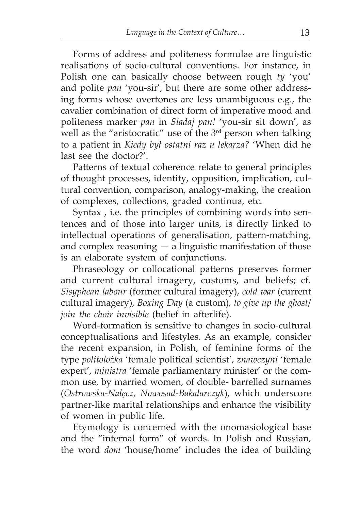Forms of address and politeness formulae are linguistic realisations of socio-cultural conventions. For instance, in Polish one can basically choose between rough *ty* 'you' and polite *pan* 'you-sir', but there are some other addressing forms whose overtones are less unambiguous e.g., the cavalier combination of direct form of imperative mood and politeness marker *pan* in *Siadaj pan!* 'you-sir sit down', as well as the "aristocratic" use of the  $3<sup>rd</sup>$  person when talking to a patient in *Kiedy był ostatni raz u lekarza?* 'When did he last see the doctor?'.

Patterns of textual coherence relate to general principles of thought processes, identity, opposition, implication, cultural convention, comparison, analogy-making, the creation of complexes, collections, graded continua, etc.

Syntax , i.e. the principles of combining words into sentences and of those into larger units, is directly linked to intellectual operations of generalisation, pattern-matching, and complex reasoning  $-$  a linguistic manifestation of those is an elaborate system of conjunctions.

Phraseology or collocational patterns preserves former and current cultural imagery, customs, and beliefs; cf. *Sisyphean labour* (former cultural imagery), *cold war* (current cultural imagery), *Boxing Day* (a custom), *to give up the ghost*/ *join the choir invisible* (belief in afterlife).

Word-formation is sensitive to changes in socio-cultural conceptualisations and lifestyles. As an example, consider the recent expansion, in Polish, of feminine forms of the type *politolożka* 'female political scientist', *znawczyni* 'female expert', *ministra* 'female parliamentary minister' or the common use, by married women, of double- barrelled surnames (*Ostrowska-Nałęcz, Nowosad-Bakalarczyk*), which underscore partner-like marital relationships and enhance the visibility of women in public life.

Etymology is concerned with the onomasiological base and the "internal form" of words. In Polish and Russian, the word *dom* 'house/home' includes the idea of building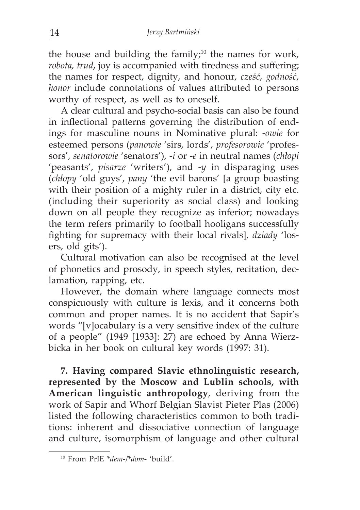the house and building the family;<sup>10</sup> the names for work, *robota, trud*, joy is accompanied with tiredness and suffering; the names for respect, dignity, and honour, *cześć*, *godność*, *honor* include connotations of values attributed to persons worthy of respect, as well as to oneself.

A clear cultural and psycho-social basis can also be found in inflectional patterns governing the distribution of endings for masculine nouns in Nominative plural: -*owie* for esteemed persons (*panowie* 'sirs, lords', *profesorowie* 'professors', *senatorowie* 'senators'), -*i* or -*e* in neutral names (*chłopi* 'peasants', *pisarze* 'writers'), and -*y* in disparaging uses (*chłopy* 'old guys', *pany* 'the evil barons' [a group boasting with their position of a mighty ruler in a district, city etc. (including their superiority as social class) and looking down on all people they recognize as inferior; nowadays the term refers primarily to football hooligans successfully fighting for supremacy with their local rivals], *dziady* 'losers, old gits').

Cultural motivation can also be recognised at the level of phonetics and prosody, in speech styles, recitation, declamation, rapping, etc.

However, the domain where language connects most conspicuously with culture is lexis, and it concerns both common and proper names. It is no accident that Sapir's words "[v]ocabulary is a very sensitive index of the culture of a people" (1949 [1933]: 27) are echoed by Anna Wierzbicka in her book on cultural key words (1997: 31).

**7. Having compared Slavic ethnolinguistic research, represented by the Moscow and Lublin schools, with American linguistic anthropology**, deriving from the work of Sapir and Whorf Belgian Slavist Pieter Plas (2006) listed the following characteristics common to both traditions: inherent and dissociative connection of language and culture, isomorphism of language and other cultural

<sup>10</sup> From PrIE \**dem-*/\**dom*- 'build'.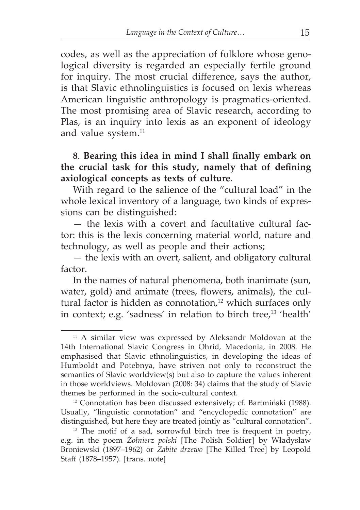codes, as well as the appreciation of folklore whose genological diversity is regarded an especially fertile ground for inquiry. The most crucial difference, says the author, is that Slavic ethnolinguistics is focused on lexis whereas American linguistic anthropology is pragmatics-oriented. The most promising area of Slavic research, according to Plas, is an inquiry into lexis as an exponent of ideology and value system.<sup>11</sup>

**8**. **Bearing this idea in mind I shall finally embark on the crucial task for this study, namely that of defining axiological concepts as texts of culture**.

With regard to the salience of the "cultural load" in the whole lexical inventory of a language, two kinds of expressions can be distinguished:

— the lexis with a covert and facultative cultural factor: this is the lexis concerning material world, nature and technology, as well as people and their actions;

— the lexis with an overt, salient, and obligatory cultural factor.

In the names of natural phenomena, both inanimate (sun, water, gold) and animate (trees, flowers, animals), the cultural factor is hidden as connotation,<sup>12</sup> which surfaces only in context; e.g. 'sadness' in relation to birch tree, $13$  'health'

<sup>12</sup> Connotation has been discussed extensively; cf. Bartmiński (1988). Usually, "linguistic connotation" and "encyclopedic connotation" are distinguished, but here they are treated jointly as "cultural connotation".

<sup>&</sup>lt;sup>11</sup> A similar view was expressed by Aleksandr Moldovan at the 14th International Slavic Congress in Ohrid, Macedonia, in 2008. He emphasised that Slavic ethnolinguistics, in developing the ideas of Humboldt and Potebnya, have striven not only to reconstruct the semantics of Slavic worldview(s) but also to capture the values inherent in those worldviews. Moldovan (2008: 34) claims that the study of Slavic themes be performed in the socio-cultural context.

<sup>&</sup>lt;sup>13</sup> The motif of a sad, sorrowful birch tree is frequent in poetry, e.g. in the poem *Żołnierz polski* [The Polish Soldier] by Władysław Broniewski (1897–1962) or *Zabite drzewo* [The Killed Tree] by Leopold Staff (1878–1957). [trans. note]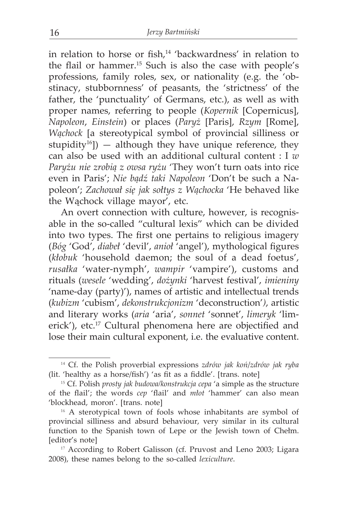in relation to horse or fish, $14$  'backwardness' in relation to the flail or hammer.15 Such is also the case with people's professions, family roles, sex, or nationality (e.g. the 'obstinacy, stubbornness' of peasants, the 'strictness' of the father, the 'punctuality' of Germans, etc.), as well as with proper names, referring to people (*Kopernik* [Copernicus], *Napoleon*, *Einstein*) or places (*Paryż* [Paris], *Rzym* [Rome], *Wąchock* [a stereotypical symbol of provincial silliness or stupidity<sup>16</sup>]) — although they have unique reference, they can also be used with an additional cultural content : I *w Paryżu nie zrobią z owsa ryżu* 'They won't turn oats into rice even in Paris'; *Nie bądź taki Napoleon* 'Don't be such a Napoleon'; *Zachował się jak sołtys z Wąchocka* 'He behaved like the Wąchock village mayor', etc.

An overt connection with culture, however, is recognisable in the so-called "cultural lexis" which can be divided into two types. The first one pertains to religious imagery (*Bóg* 'God', *diabeł* 'devil', *anioł* 'angel'), mythological figures (*kłobuk* 'household daemon; the soul of a dead foetus', *rusałka* 'water-nymph', *wampir* 'vampire'), customs and rituals (*wesele* 'wedding', *dożynki* 'harvest festival', *imieniny*  'name-day (party)'), names of artistic and intellectual trends (*kubizm* 'cubism', *dekonstrukcjonizm* 'deconstruction'*)*, artistic and literary works (*aria* 'aria', *sonnet* 'sonnet', *limeryk* 'limerick'), etc.17 Cultural phenomena here are objectified and lose their main cultural exponent, i.e. the evaluative content.

<sup>14</sup> Cf. the Polish proverbial expressions *zdrów jak koń*/*zdrów jak ryba* (lit. 'healthy as a horse/fish') 'as fit as a fiddle'. [trans. note]

<sup>15</sup> Cf. Polish *prosty jak budowa/konstrukcja cepa* 'a simple as the structure of the flail'; the words *cep* 'flail' and *młot* 'hammer' can also mean 'blockhead, moron'. [trans. note]

<sup>&</sup>lt;sup>16</sup> A sterotypical town of fools whose inhabitants are symbol of provincial silliness and absurd behaviour, very similar in its cultural function to the Spanish town of Lepe or the Jewish town of Chełm. [editor's note]

<sup>&</sup>lt;sup>17</sup> According to Robert Galisson (cf. Pruvost and Leno 2003; Ligara 2008), these names belong to the so-called *lexiculture*.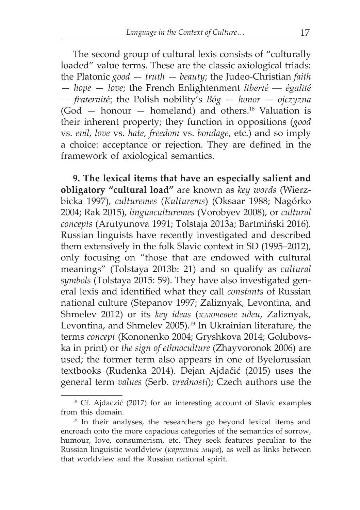The second group of cultural lexis consists of "culturally loaded" value terms. These are the classic axiological triads: the Platonic *good* — *truth* — *beauty*; the Judeo-Christian *faith* — *hope* — *love*; the French Enlightenment *liberté* — *égalité* — *fraternité*; the Polish nobility's *Bóg* — *honor* — *ojczyzna*  $(God - \text{honour} - \text{homeland})$  and others.<sup>18</sup> Valuation is their inherent property; they function in oppositions (*good*  vs. *evil*, *love* vs. *hate*, *freedom* vs. *bondage*, etc.) and so imply a choice: acceptance or rejection. They are defined in the framework of axiological semantics.

**9. The lexical items that have an especially salient and obligatory "cultural load"** are known as *key words* (Wierzbicka 1997), *culturemes* (*Kulturems*) (Oksaar 1988; Nagórko 2004; Rak 2015), *linguaculturemes* (Vorobyev 2008), or *cultural concepts* (Arutyunova 1991; Tolstaja 2013a; Bartmiński 2016)*.* Russian linguists have recently investigated and described them extensively in the folk Slavic context in SD (1995–2012), only focusing on "those that are endowed with cultural meanings" (Tolstaya 2013b: 21) and so qualify as *cultural symbols* (Tolstaya 2015: 59). They have also investigated general lexis and identified what they call *constants* of Russian national culture (Stepanov 1997; Zaliznyak, Levontina, and Shmelev 2012) or its *key ideas* (*ключевые идеи*, Zaliznyak, Levontina, and Shmelev 2005).<sup>19</sup> In Ukrainian literature, the terms *concept* (Kononenko 2004; Gryshkova 2014; Golubovska in print) or *the sign of ethnoculture* (Zhayvoronok 2006) are used; the former term also appears in one of Byelorussian textbooks (Rudenka 2014). Dejan Ajdačić (2015) uses the general term *values* (Serb. *vrednosti*); Czech authors use the

<sup>&</sup>lt;sup>18</sup> Cf. Ajdaczić (2017) for an interesting account of Slavic examples from this domain.

<sup>19</sup> In their analyses, the researchers go beyond lexical items and encroach onto the more capacious categories of the semantics of sorrow, humour, love, consumerism, etc. They seek features peculiar to the Russian linguistic worldview (*картины мира*), as well as links between that worldview and the Russian national spirit.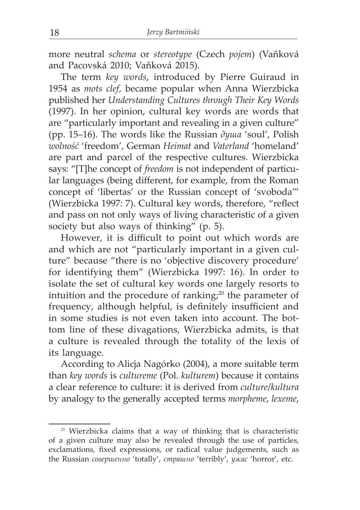more neutral *schema* or *stereotype* (Czech *pojem*) (Vañková and Pacovská 2010; Vaňková 2015).

The term *key words*, introduced by Pierre Guiraud in 1954 as *mots clef*, became popular when Anna Wierzbicka published her *Understanding Cultures through Their Key Words*  (1997). In her opinion, cultural key words are words that are "particularly important and revealing in a given culture" (pp. 15–16). The words like the Russian *душа* 'soul', Polish *wolność* 'freedom', German *Heimat* and *Vaterland* 'homeland' are part and parcel of the respective cultures. Wierzbicka says: "[T]he concept of *freedom* is not independent of particular languages (being different, for example, from the Roman concept of 'libertas' or the Russian concept of 'svoboda'" (Wierzbicka 1997: 7). Cultural key words, therefore, "reflect and pass on not only ways of living characteristic of a given society but also ways of thinking" (p. 5).

However, it is difficult to point out which words are and which are not "particularly important in a given culture" because "there is no 'objective discovery procedure' for identifying them" (Wierzbicka 1997: 16). In order to isolate the set of cultural key words one largely resorts to intuition and the procedure of ranking; $20$  the parameter of frequency, although helpful, is definitely insufficient and in some studies is not even taken into account. The bottom line of these divagations, Wierzbicka admits, is that a culture is revealed through the totality of the lexis of its language.

According to Alicja Nagórko (2004), a more suitable term than *key words* is *cultureme* (Pol. *kulturem*) because it contains a clear reference to culture: it is derived from *culture*/*kultura* by analogy to the generally accepted terms *morpheme*, *lexeme*,

<sup>20</sup> Wierzbicka claims that a way of thinking that is characteristic of a given culture may also be revealed through the use of particles, exclamations, fixed expressions, or radical value judgements, such as the Russian *совершенно* 'totally', *страшно* 'terribly', *ужас* 'horror', etc.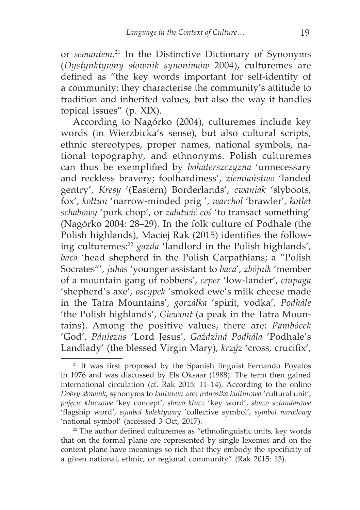or *semantem*. 21 In the Distinctive Dictionary of Synonyms (*Dystynktywny słownik synonimów* 2004), culturemes are defined as "the key words important for self-identity of a community; they characterise the community's attitude to tradition and inherited values, but also the way it handles topical issues" (p. XIX).

According to Nagórko (2004), culturemes include key words (in Wierzbicka's sense), but also cultural scripts, ethnic stereotypes, proper names, national symbols, national topography, and ethnonyms. Polish culturemes can thus be exemplified by *bohaterszczyzna* 'unnecessary and reckless bravery; foolhardiness', *ziemiaństwo* 'landed gentry', *Kresy* '(Eastern) Borderlands', *cwaniak* 'slyboots, fox', *kołtun* 'narrow-minded prig ', *warchoł* 'brawler', *kotlet schabowy* 'pork chop', or *załatwić coś* 'to transact something' (Nagórko 2004: 28–29). In the folk culture of Podhale (the Polish highlands), Maciej Rak (2015) identifies the following culturemes:<sup>22</sup> *gazda* 'landlord in the Polish highlands', *baca* 'head shepherd in the Polish Carpathians; a "Polish Socrates"', *juhas* 'younger assistant to *baca*', *zbójnik* 'member of a mountain gang of robbers', *ceper* 'low-lander', *ciupaga* 'shepherd's axe', *oscypek* 'smoked ewe's milk cheese made in the Tatra Mountains', *gorzáłka* 'spirit, vodka', *Podhále*  'the Polish highlands', *Giewont* (a peak in the Tatra Mountains). Among the positive values, there are: *Pámbócek* 'God', *Pániezus* 'Lord Jesus', *Gaździná Podhála* 'Podhale's Landlady' (the blessed Virgin Mary), *krzýz* 'cross, crucifix',

<sup>&</sup>lt;sup>21</sup> It was first proposed by the Spanish linguist Fernando Poyatos in 1976 and was discussed by Els Oksaar (1988). The term then gained international circulation (cf. Rak 2015: 11–14). According to the online *Dobry słownik*, synonyms to *kulturem* are: *jednostka kulturowa* 'cultural unit', *pojęcie kluczowe* 'key concept', *słowo klucz* 'key word', *słowo sztandarowe* 'flagship word', *symbol kolektywny* 'collective symbol', *symbol narodowy*  'national symbol' (accessed 3 Oct, 2017).

 $22$  The author defined culturemes as "ethnolinguistic units, key words that on the formal plane are represented by single lexemes and on the content plane have meanings so rich that they embody the specificity of a given national, ethnic, or regional community" (Rak 2015: 13).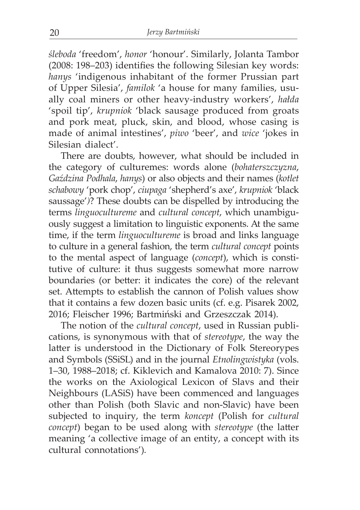*śleboda* 'freedom', *honor* 'honour'. Similarly, Jolanta Tambor (2008: 198–203) identifies the following Silesian key words: *hanys* 'indigenous inhabitant of the former Prussian part of Upper Silesia', *familok* 'a house for many families, usually coal miners or other heavy-industry workers', *hałda* 'spoil tip', *krupniok* 'black sausage produced from groats and pork meat, pluck, skin, and blood, whose casing is made of animal intestines', *piwo* 'beer', and *wice* 'jokes in Silesian dialect'.

There are doubts, however, what should be included in the category of culturemes: words alone (*bohaterszczyzna*, *Gaździna Podhala*, *hanys*) or also objects and their names (*kotlet schabowy* 'pork chop', *ciupaga* 'shepherd's axe', *krupniok* 'black saussage'*)*? These doubts can be dispelled by introducing the terms *linguocultureme* and *cultural concept*, which unambiguously suggest a limitation to linguistic exponents. At the same time, if the term *linguocultureme* is broad and links language to culture in a general fashion, the term *cultural concept* points to the mental aspect of language (*concept*), which is constitutive of culture: it thus suggests somewhat more narrow boundaries (or better: it indicates the core) of the relevant set. Attempts to establish the cannon of Polish values show that it contains a few dozen basic units (cf. e.g. Pisarek 2002, 2016; Fleischer 1996; Bartmiński and Grzeszczak 2014).

The notion of the *cultural concept*, used in Russian publications, is synonymous with that of *stereotype*, the way the latter is understood in the Dictionary of Folk Stereorypes and Symbols (SSiSL) and in the journal *Etnolingwistyka* (vols. 1–30, 1988–2018; cf. Kiklevich and Kamalova 2010: 7). Since the works on the Axiological Lexicon of Slavs and their Neighbours (LASiS) have been commenced and languages other than Polish (both Slavic and non-Slavic) have been subjected to inquiry, the term *koncept* (Polish for *cultural concept*) began to be used along with *stereotype* (the latter meaning 'a collective image of an entity, a concept with its cultural connotations')*.*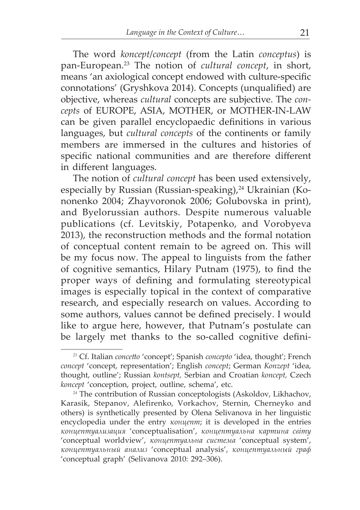The word *koncept*/*concept* (from the Latin *conceptus*) is pan-European.23 The notion of *cultural concept*, in short, means 'an axiological concept endowed with culture-specific connotations' (Gryshkova 2014). Concepts (unqualified) are objective, whereas *cultural* concepts are subjective. The *concepts* of EUROPE, ASIA, MOTHER, or MOTHER-IN-LAW can be given parallel encyclopaedic definitions in various languages, but *cultural concepts* of the continents or family members are immersed in the cultures and histories of specific national communities and are therefore different in different languages.

The notion of *cultural concept* has been used extensively, especially by Russian (Russian-speaking), $^{24}$  Ukrainian (Kononenko 2004; Zhayvoronok 2006; Golubovska in print), and Byelorussian authors. Despite numerous valuable publications (cf. Levitskiy, Potapenko, and Vorobyeva 2013), the reconstruction methods and the formal notation of conceptual content remain to be agreed on. This will be my focus now. The appeal to linguists from the father of cognitive semantics, Hilary Putnam (1975), to find the proper ways of defining and formulating stereotypical images is especially topical in the context of comparative research, and especially research on values. According to some authors, values cannot be defined precisely. I would like to argue here, however, that Putnam's postulate can be largely met thanks to the so-called cognitive defini-

<sup>23</sup> Cf. Italian *concetto* 'concept'; Spanish *concepto* 'idea, thought'; French *concept* 'concept, representation'; English *concept*; German *Konzept* 'idea, thought, outline'; Russian *kontsept,* Serbian and Croatian *koncept,* Czech *koncept* 'conception, project, outline, schema', etc.

<sup>&</sup>lt;sup>24</sup> The contribution of Russian conceptologists (Askoldov, Likhachov, Karasik, Stepanov, Alefirenko, Vorkachov, Sternin, Cherneyko and others) is synthetically presented by Olena Selivanova in her linguistic encyclopedia under the entry *концепт*; it is developed in the entries *концептуализация* 'conceptualisation', *концептуальна картина свiту* 'conceptual worldview', *концептуальна система* 'conceptual system', *концептуальный анализ* 'conceptual analysis', *концептуальный граф* 'conceptual graph' (Selivanova 2010: 292–306).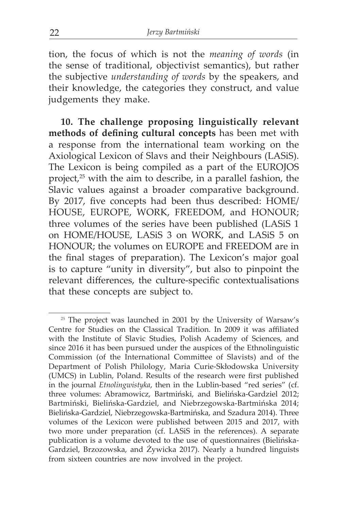tion, the focus of which is not the *meaning of words* (in the sense of traditional, objectivist semantics), but rather the subjective *understanding of words* by the speakers, and their knowledge, the categories they construct, and value judgements they make.

**10. The challenge proposing linguistically relevant methods of defining cultural concepts** has been met with a response from the international team working on the Axiological Lexicon of Slavs and their Neighbours (LASiS). The Lexicon is being compiled as a part of the EUROJOS project,25 with the aim to describe, in a parallel fashion, the Slavic values against a broader comparative background. By 2017, five concepts had been thus described: HOME/ HOUSE, EUROPE, WORK, FREEDOM, and HONOUR; three volumes of the series have been published (LASiS 1 on HOME/HOUSE, LASiS 3 on WORK, and LASiS 5 on HONOUR; the volumes on EUROPE and FREEDOM are in the final stages of preparation). The Lexicon's major goal is to capture "unity in diversity", but also to pinpoint the relevant differences, the culture-specific contextualisations that these concepts are subject to.

<sup>&</sup>lt;sup>25</sup> The project was launched in 2001 by the University of Warsaw's Centre for Studies on the Classical Tradition. In 2009 it was affiliated with the Institute of Slavic Studies, Polish Academy of Sciences, and since 2016 it has been pursued under the auspices of the Ethnolinguistic Commission (of the International Committee of Slavists) and of the Department of Polish Philology, Maria Curie-Skłodowska University (UMCS) in Lublin, Poland. Results of the research were first published in the journal *Etnolingwistyka*, then in the Lublin-based "red series" (cf. three volumes: Abramowicz, Bartmiński, and Bielińska-Gardziel 2012; Bartmiński, Bielińska-Gardziel, and Niebrzegowska-Bartmińska 2014; Bielińska-Gardziel, Niebrzegowska-Bartmińska, and Szadura 2014). Three volumes of the Lexicon were published between 2015 and 2017, with two more under preparation (cf. LASiS in the references). A separate publication is a volume devoted to the use of questionnaires (Bielińska-Gardziel, Brzozowska, and Żywicka 2017). Nearly a hundred linguists from sixteen countries are now involved in the project.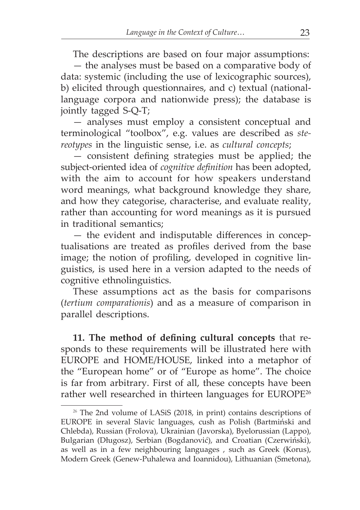The descriptions are based on four major assumptions:

— the analyses must be based on a comparative body of data: systemic (including the use of lexicographic sources), b) elicited through questionnaires, and c) textual (nationallanguage corpora and nationwide press); the database is jointly tagged S-Q-T;

— analyses must employ a consistent conceptual and terminological "toolbox", e.g. values are described as *stereotypes* in the linguistic sense, i.e. as *cultural concepts*;

— consistent defining strategies must be applied; the subject-oriented idea of *cognitive definition* has been adopted, with the aim to account for how speakers understand word meanings, what background knowledge they share, and how they categorise, characterise, and evaluate reality, rather than accounting for word meanings as it is pursued in traditional semantics;

— the evident and indisputable differences in conceptualisations are treated as profiles derived from the base image; the notion of profiling, developed in cognitive linguistics, is used here in a version adapted to the needs of cognitive ethnolinguistics.

These assumptions act as the basis for comparisons (*tertium comparationis*) and as a measure of comparison in parallel descriptions.

**11. The method of defining cultural concepts** that responds to these requirements will be illustrated here with EUROPE and HOME/HOUSE, linked into a metaphor of the "European home" or of "Europe as home". The choice is far from arbitrary. First of all, these concepts have been rather well researched in thirteen languages for EUROPE26

<sup>&</sup>lt;sup>26</sup> The 2nd volume of LASiS (2018, in print) contains descriptions of EUROPE in several Slavic languages, cush as Polish (Bartmiński and Chlebda), Russian (Frolova), Ukrainian (Javorska), Byelorussian (Lappo), Bulgarian (Długosz), Serbian (Bogdanović), and Croatian (Czerwiński), as well as in a few neighbouring languages , such as Greek (Korus), Modern Greek (Genew-Puhalewa and Ioannidou), Lithuanian (Smetona),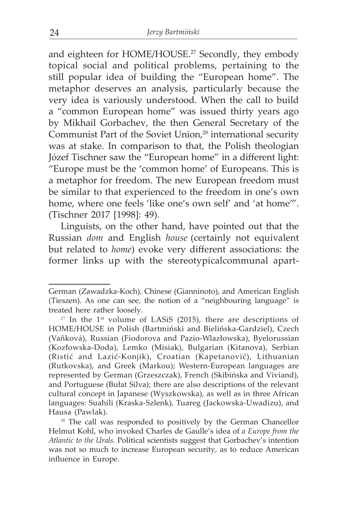and eighteen for HOME/HOUSE.<sup>27</sup> Secondly, they embody topical social and political problems, pertaining to the still popular idea of building the "European home". The metaphor deserves an analysis, particularly because the very idea is variously understood. When the call to build a "common European home" was issued thirty years ago by Mikhail Gorbachev, the then General Secretary of the Communist Part of the Soviet Union,<sup>28</sup> international security was at stake. In comparison to that, the Polish theologian Józef Tischner saw the "European home" in a different light: "Europe must be the 'common home' of Europeans. This is a metaphor for freedom. The new European freedom must be similar to that experienced to the freedom in one's own home, where one feels 'like one's own self' and 'at home'". (Tischner 2017 [1998]: 49).

Linguists, on the other hand, have pointed out that the Russian *dom* and English *house* (certainly not equivalent but related to *home*) evoke very different associations: the former links up with the stereotypicalcommunal apart-

German (Zawadzka-Koch), Chinese (Gianninoto), and American English (Tieszen). As one can see, the notion of a "neighbouring language" is treated here rather loosely.

 $27$  In the 1<sup>st</sup> volume of LASiS (2015), there are descriptions of HOME/HOUSE in Polish (Bartmiński and Bielińska-Gardziel), Czech (Vañková), Russian (Fiodorova and Pazio-Wlazłowska), Byelorussian (Kozłowska-Doda), Lemko (Misiak), Bulgarian (Kitanova), Serbian (Ristić and Lazić-Konjik), Croatian (Kapetanović), Lithuanian (Rutkovska), and Greek (Markou); Western-European languages are represented by German (Grzeszczak), French (Skibińska and Viviand), and Portuguese (Bułat Silva); there are also descriptions of the relevant cultural concept in Japanese (Wyszkowska), as well as in three African languages: Suahili (Kraska-Szlenk), Tuareg (Jackowska-Uwadizu), and Hausa (Pawlak).

<sup>&</sup>lt;sup>28</sup> The call was responded to positively by the German Chancellor Helmut Kohl, who invoked Charles de Gaulle's idea of *a Europe from the Atlantic to the Urals.* Political scientists suggest that Gorbachev's intention was not so much to increase European security, as to reduce American influence in Europe.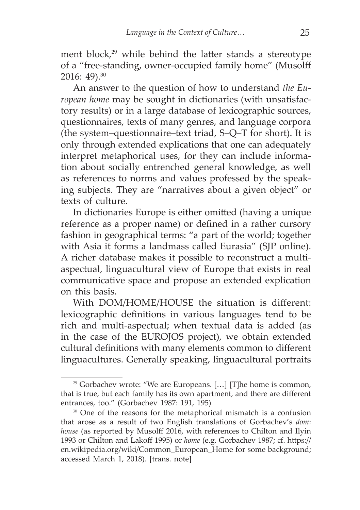ment block,<sup>29</sup> while behind the latter stands a stereotype of a "free-standing, owner-occupied family home" (Musolff 2016: 49).30

An answer to the question of how to understand *the European home* may be sought in dictionaries (with unsatisfactory results) or in a large database of lexicographic sources, questionnaires, texts of many genres, and language corpora (the system–questionnaire–text triad, S–Q–T for short). It is only through extended explications that one can adequately interpret metaphorical uses, for they can include information about socially entrenched general knowledge, as well as references to norms and values professed by the speaking subjects. They are "narratives about a given object" or texts of culture.

In dictionaries Europe is either omitted (having a unique reference as a proper name) or defined in a rather cursory fashion in geographical terms: "a part of the world; together with Asia it forms a landmass called Eurasia" (SJP online). A richer database makes it possible to reconstruct a multiaspectual, linguacultural view of Europe that exists in real communicative space and propose an extended explication on this basis.

With DOM/HOME/HOUSE the situation is different: lexicographic definitions in various languages tend to be rich and multi-aspectual; when textual data is added (as in the case of the EUROJOS project), we obtain extended cultural definitions with many elements common to different linguacultures. Generally speaking, linguacultural portraits

<sup>&</sup>lt;sup>29</sup> Gorbachev wrote: "We are Europeans. [...] [T]he home is common, that is true, but each family has its own apartment, and there are different entrances, too." (Gorbachev 1987: 191, 195)

<sup>&</sup>lt;sup>30</sup> One of the reasons for the metaphorical mismatch is a confusion that arose as a result of two English translations of Gorbachev's *dom*: *house* (as reported by Musolff 2016, with references to Chilton and Ilyin 1993 or Chilton and Lakoff 1995) or *home* (e.g. Gorbachev 1987; cf. https:// en.wikipedia.org/wiki/Common\_European\_Home for some background; accessed March 1, 2018). [trans. note]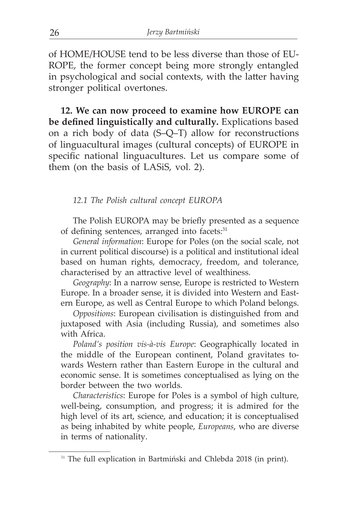of HOME/HOUSE tend to be less diverse than those of EU-ROPE, the former concept being more strongly entangled in psychological and social contexts, with the latter having stronger political overtones.

**12. We can now proceed to examine how EUROPE can be defined linguistically and culturally.** Explications based on a rich body of data (S–Q–T) allow for reconstructions of linguacultural images (cultural concepts) of EUROPE in specific national linguacultures. Let us compare some of them (on the basis of LASiS, vol. 2).

#### *12.1 The Polish cultural concept EUROPA*

The Polish EUROPA may be briefly presented as a sequence of defining sentences, arranged into facets:<sup>31</sup>

*General information*: Europe for Poles (on the social scale, not in current political discourse) is a political and institutional ideal based on human rights, democracy, freedom, and tolerance, characterised by an attractive level of wealthiness.

*Geography*: In a narrow sense, Europe is restricted to Western Europe. In a broader sense, it is divided into Western and Eastern Europe, as well as Central Europe to which Poland belongs.

*Oppositions*: European civilisation is distinguished from and juxtaposed with Asia (including Russia), and sometimes also with Africa.

*Poland's position vis-à-vis Europe*: Geographically located in the middle of the European continent, Poland gravitates towards Western rather than Eastern Europe in the cultural and economic sense. It is sometimes conceptualised as lying on the border between the two worlds.

*Characteristics*: Europe for Poles is a symbol of high culture, well-being, consumption, and progress; it is admired for the high level of its art, science, and education; it is conceptualised as being inhabited by white people, *Europeans*, who are diverse in terms of nationality.

<sup>&</sup>lt;sup>31</sup> The full explication in Bartmiński and Chlebda 2018 (in print).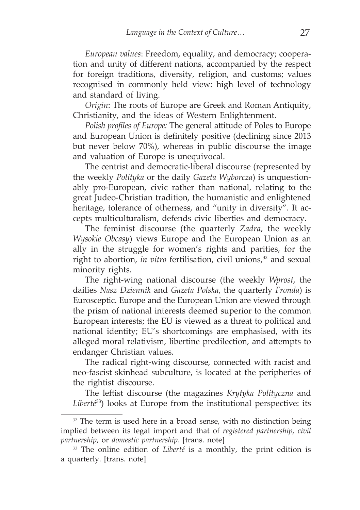*European values*: Freedom, equality, and democracy; cooperation and unity of different nations, accompanied by the respect for foreign traditions, diversity, religion, and customs; values recognised in commonly held view: high level of technology and standard of living.

*Origin*: The roots of Europe are Greek and Roman Antiquity, Christianity, and the ideas of Western Enlightenment.

*Polish profiles of Europe:* The general attitude of Poles to Europe and European Union is definitely positive (declining since 2013 but never below 70%), whereas in public discourse the image and valuation of Europe is unequivocal.

The centrist and democratic-liberal discourse (represented by the weekly *Polityka* or the daily *Gazeta Wyborcza*) is unquestionably pro-European, civic rather than national, relating to the great Judeo-Christian tradition, the humanistic and enlightened heritage, tolerance of otherness, and "unity in diversity". It accepts multiculturalism, defends civic liberties and democracy.

The feminist discourse (the quarterly *Zadra*, the weekly *Wysokie Obcasy*) views Europe and the European Union as an ally in the struggle for women's rights and parities, for the right to abortion, *in vitro* fertilisation, civil unions,<sup>32</sup> and sexual minority rights.

The right-wing national discourse (the weekly *Wprost*, the dailies *Nasz Dziennik* and *Gazeta Polska*, the quarterly *Fronda*) is Eurosceptic. Europe and the European Union are viewed through the prism of national interests deemed superior to the common European interests; the EU is viewed as a threat to political and national identity; EU's shortcomings are emphasised, with its alleged moral relativism, libertine predilection, and attempts to endanger Christian values.

The radical right-wing discourse, connected with racist and neo-fascist skinhead subculture, is located at the peripheries of the rightist discourse.

The leftist discourse (the magazines *Krytyka Polityczna* and *Liberté*33) looks at Europe from the institutional perspective: its

 $32$  The term is used here in a broad sense, with no distinction being implied between its legal import and that of *registered partnership*, *civil partnership*, or *domestic partnership*. [trans. note]

<sup>33</sup> The online edition of *Liberté* is a monthly, the print edition is a quarterly. [trans. note]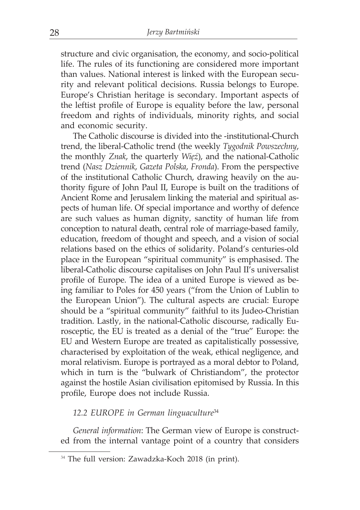structure and civic organisation, the economy, and socio-political life. The rules of its functioning are considered more important than values. National interest is linked with the European security and relevant political decisions. Russia belongs to Europe. Europe's Christian heritage is secondary. Important aspects of the leftist profile of Europe is equality before the law, personal freedom and rights of individuals, minority rights, and social and economic security.

The Catholic discourse is divided into the -institutional-Church trend, the liberal-Catholic trend (the weekly *Tygodnik Powszechny*, the monthly *Znak*, the quarterly *Więź*), and the national-Catholic trend (*Nasz Dziennik*, *Gazeta Polska*, *Fronda*). From the perspective of the institutional Catholic Church, drawing heavily on the authority figure of John Paul II, Europe is built on the traditions of Ancient Rome and Jerusalem linking the material and spiritual aspects of human life. Of special importance and worthy of defence are such values as human dignity, sanctity of human life from conception to natural death, central role of marriage-based family, education, freedom of thought and speech, and a vision of social relations based on the ethics of solidarity. Poland's centuries-old place in the European "spiritual community" is emphasised. The liberal-Catholic discourse capitalises on John Paul II's universalist profile of Europe. The idea of a united Europe is viewed as being familiar to Poles for 450 years ("from the Union of Lublin to the European Union"). The cultural aspects are crucial: Europe should be a "spiritual community" faithful to its Judeo-Christian tradition. Lastly, in the national-Catholic discourse, radically Eurosceptic, the EU is treated as a denial of the "true" Europe: the EU and Western Europe are treated as capitalistically possessive, characterised by exploitation of the weak, ethical negligence, and moral relativism. Europe is portrayed as a moral debtor to Poland, which in turn is the "bulwark of Christiandom", the protector against the hostile Asian civilisation epitomised by Russia. In this profile, Europe does not include Russia.

#### *12.2 EUROPE in German linguaculture*<sup>34</sup>

*General information*: The German view of Europe is constructed from the internal vantage point of a country that considers

<sup>34</sup> The full version: Zawadzka-Koch 2018 (in print).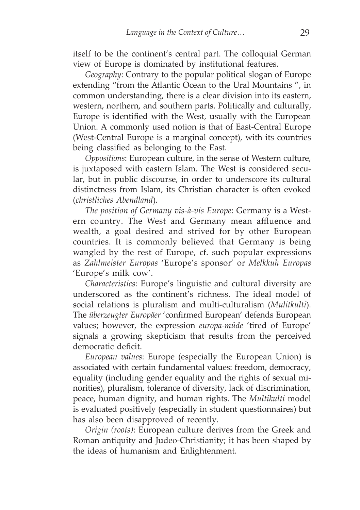itself to be the continent's central part. The colloquial German view of Europe is dominated by institutional features.

*Geography*: Contrary to the popular political slogan of Europe extending "from the Atlantic Ocean to the Ural Mountains ", in common understanding, there is a clear division into its eastern, western, northern, and southern parts. Politically and culturally, Europe is identified with the West, usually with the European Union. A commonly used notion is that of East-Central Europe (West-Central Europe is a marginal concept), with its countries being classified as belonging to the East.

*Oppositions*: European culture, in the sense of Western culture, is juxtaposed with eastern Islam. The West is considered secular, but in public discourse, in order to underscore its cultural distinctness from Islam, its Christian character is often evoked (*christliches Abendland*).

*The position of Germany vis-à-vis Europe*: Germany is a Western country. The West and Germany mean affluence and wealth, a goal desired and strived for by other European countries. It is commonly believed that Germany is being wangled by the rest of Europe, cf. such popular expressions as *Zahlmeister Europas* 'Europe's sponsor' or *Melkkuh Europas* 'Europe's milk cow'.

*Characteristics*: Europe's linguistic and cultural diversity are underscored as the continent's richness. The ideal model of social relations is pluralism and multi-culturalism (*Mulitkulti*). The *überzeugter Europäer* 'confirmed European' defends European values; however, the expression *europa-müde* 'tired of Europe' signals a growing skepticism that results from the perceived democratic deficit.

*European values*: Europe (especially the European Union) is associated with certain fundamental values: freedom, democracy, equality (including gender equality and the rights of sexual minorities), pluralism, tolerance of diversity, lack of discrimination, peace, human dignity, and human rights. The *Multikulti* model is evaluated positively (especially in student questionnaires) but has also been disapproved of recently.

*Origin (roots)*: European culture derives from the Greek and Roman antiquity and Judeo-Christianity; it has been shaped by the ideas of humanism and Enlightenment.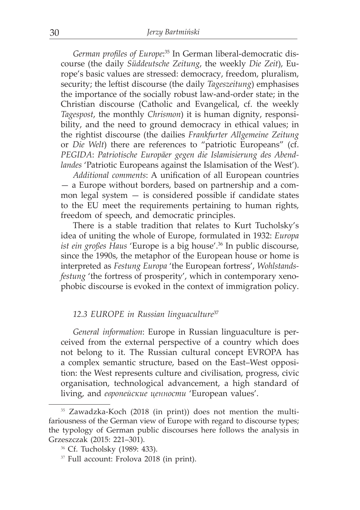*German profiles of Europe*: 35 In German liberal-democratic discourse (the daily *Süddeutsche Zeitung*, the weekly *Die Zeit*), Europe's basic values are stressed: democracy, freedom, pluralism, security; the leftist discourse (the daily *Tageszeitung*) emphasises the importance of the socially robust law-and-order state; in the Christian discourse (Catholic and Evangelical, cf. the weekly *Tagespost*, the monthly *Chrismon*) it is human dignity, responsibility, and the need to ground democracy in ethical values; in the rightist discourse (the dailies *Frankfurter Allgemeine Zeitung* or *Die Welt*) there are references to "patriotic Europeans" (cf. *PEGIDA*: *Patriotische Europäer gegen die Islamisierung des Abendlandes* 'Patriotic Europeans against the Islamisation of the West').

*Additional comments*: A unification of all European countries — a Europe without borders, based on partnership and a common legal system  $-$  is considered possible if candidate states to the EU meet the requirements pertaining to human rights, freedom of speech, and democratic principles.

There is a stable tradition that relates to Kurt Tucholsky's idea of uniting the whole of Europe, formulated in 1932: *Europa ist ein großes Haus* 'Europe is a big house'.<sup>36</sup> In public discourse, since the 1990s, the metaphor of the European house or home is interpreted as *Festung Europa* 'the European fortress', *Wohlstandsfestung* 'the fortress of prosperity', which in contemporary xenophobic discourse is evoked in the context of immigration policy.

#### *12.3 EUROPE in Russian linguaculture*<sup>37</sup>

*General information*: Europe in Russian linguaculture is perceived from the external perspective of a country which does not belong to it. The Russian cultural concept ЕVROPA has a complex semantic structure, based on the East–West opposition: the West represents culture and civilisation, progress, civic organisation, technological advancement, a high standard of living, and *европейские ценности* 'European values'.

<sup>35</sup> Zawadzka-Koch (2018 (in print)) does not mention the multifariousness of the German view of Europe with regard to discourse types; the typology of German public discourses here follows the analysis in Grzeszczak (2015: 221–301).

<sup>36</sup> Cf. Tucholsky (1989: 433).

<sup>37</sup> Full account: Frolova 2018 (in print).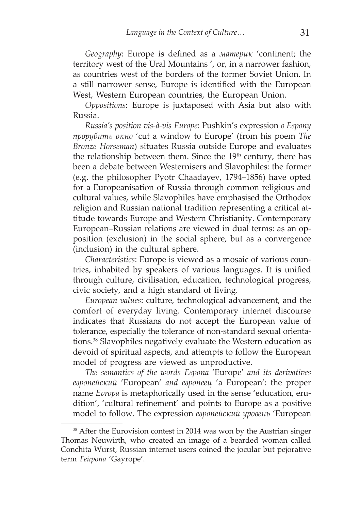*Geography*: Europe is defined as a *материк* 'continent; the territory west of the Ural Mountains ', or, in a narrower fashion, as countries west of the borders of the former Soviet Union. In a still narrower sense, Europe is identified with the European West, Western European countries, the European Union.

*Oppositions*: Europe is juxtaposed with Asia but also with Russia.

*Russia's position vis-à-vis Europe*: Pushkin's expression *в Европу прорубить окно* 'cut a window to Europe' (from his poem *The Bronze Horseman*) situates Russia outside Europe and evaluates the relationship between them. Since the 19<sup>th</sup> century, there has been a debate between Westernisers and Slavophiles: the former (e.g. the philosopher Pyotr Chaadayev, 1794–1856) have opted for a Europeanisation of Russia through common religious and cultural values, while Slavophiles have emphasised the Orthodox religion and Russian national tradition representing a critical attitude towards Europe and Western Christianity. Contemporary European–Russian relations are viewed in dual terms: as an opposition (exclusion) in the social sphere, but as a convergence (inclusion) in the cultural sphere.

*Characteristics*: Europe is viewed as a mosaic of various countries, inhabited by speakers of various languages. It is unified through culture, civilisation, education, technological progress, civic society, and a high standard of living.

*European values*: culture, technological advancement, and the comfort of everyday living. Contemporary internet discourse indicates that Russians do not accept the European value of tolerance, especially the tolerance of non-standard sexual orientations.38 Slavophiles negatively evaluate the Western education as devoid of spiritual aspects, and attempts to follow the European model of progress are viewed as unproductive.

*The semantics of the words Европa* 'Europe' *and its derivatives европейский* 'European' *and европеец* 'a European': the proper name *Evropa* is metaphorically used in the sense 'education, erudition', 'cultural refinement' and points to Europe as a positive model to follow. The expression *европейский уровень* 'European

<sup>&</sup>lt;sup>38</sup> After the Eurovision contest in 2014 was won by the Austrian singer Thomas Neuwirth, who created an image of a bearded woman called Conchita Wurst, Russian internet users coined the jocular but pejorative term *Гейропа* 'Gayrope'.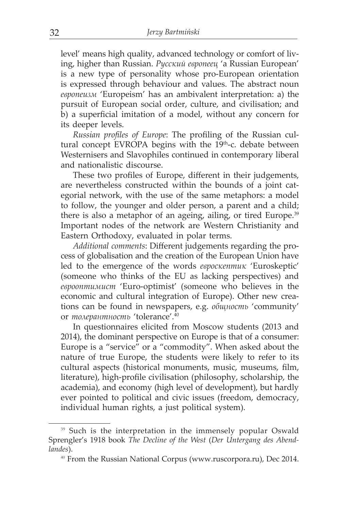level' means high quality, advanced technology or comfort of living, higher than Russian. *Русский европеец* 'a Russian European' is a new type of personality whose pro-European orientation is expressed through behaviour and values. The abstract noun *европеизм* 'Europeism' has an ambivalent interpretation: а) the pursuit of European social order, culture, and civilisation; and b) a superficial imitation of a model, without any concern for its deeper levels.

*Russian profiles of Europe*: The profiling of the Russian cultural concept EVROPA begins with the 19<sup>th</sup>-c. debate between Westernisers and Slavophiles continued in contemporary liberal and nationalistic discourse.

These two profiles of Europe, different in their judgements, are nevertheless constructed within the bounds of a joint categorial network, with the use of the same metaphors: a model to follow, the younger and older person, a parent and a child; there is also a metaphor of an ageing, ailing, or tired Europe.<sup>39</sup> Important nodes of the network are Western Christianity and Eastern Orthodoxy, evaluated in polar terms.

*Additional comments*: Different judgements regarding the process of globalisation and the creation of the European Union have led to the emergence of the words *евроскептик* 'Euroskeptic' (someone who thinks of the EU as lacking perspectives) and *еврооптимист* 'Euro-optimist' (someone who believes in the economic and cultural integration of Europe). Other new creations can be found in newspapers, e.g. *общность* 'community' or *толерантность* 'tolerance'.40

In questionnaires elicited from Moscow students (2013 and 2014), the dominant perspective on Europe is that of a consumer: Europe is a "service" or a "commodity". When asked about the nature of true Europe, the students were likely to refer to its cultural aspects (historical monuments, music, museums, film, literature), high-profile civilisation (philosophy, scholarship, the academia), and economy (high level of development), but hardly ever pointed to political and civic issues (freedom, democracy, individual human rights, a just political system).

<sup>&</sup>lt;sup>39</sup> Such is the interpretation in the immensely popular Oswald Sprengler's 1918 book *The Decline of the West* (*Der Untergang des Abendlandes*).

<sup>40</sup> From the Russian National Corpus (www.ruscorpora.ru), Dec 2014.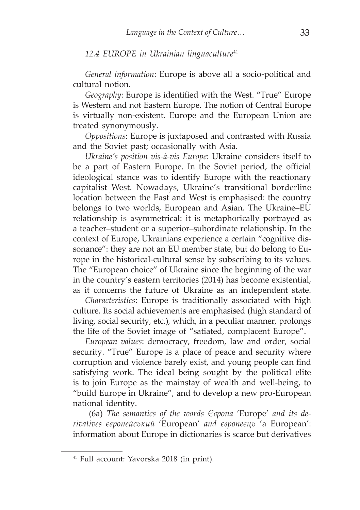#### *12.4 EUROPE in Ukrainian linguaculture*<sup>41</sup>

*General information*: Еurope is above all a socio-political and cultural notion.

*Geography*: Europe is identified with the West. "True" Europe is Western and not Eastern Europe. The notion of Central Europe is virtually non-existent. Europe and the European Union are treated synonymously.

*Oppositions*: Europe is juxtaposed and contrasted with Russia and the Soviet past; occasionally with Asia.

*Ukraine's position vis-à-vis Europe*: Ukraine considers itself to be a part of Eastern Europe. In the Soviet period, the official ideological stance was to identify Europe with the reactionary capitalist West. Nowadays, Ukraine's transitional borderline location between the East and West is emphasised: the country belongs to two worlds, European and Asian. The Ukraine–EU relationship is asymmetrical: it is metaphorically portrayed as a teacher–student or a superior–subordinate relationship. In the context of Europe, Ukrainians experience a certain "cognitive dissonance": they are not an EU member state, but do belong to Europe in the historical-cultural sense by subscribing to its values. The "European choice" of Ukraine since the beginning of the war in the country's eastern territories (2014) has become existential, as it concerns the future of Ukraine as an independent state.

*Characteristics*: Europe is traditionally associated with high culture. Its social achievements are emphasised (high standard of living, social security, etc.), which, in a peculiar manner, prolongs the life of the Soviet image of "satiated, complacent Europe".

*European values*: democracy, freedom, law and order, social security. "True" Europe is a place of peace and security where corruption and violence barely exist, and young people can find satisfying work. The ideal being sought by the political elite is to join Europe as the mainstay of wealth and well-being, to "build Europe in Ukraine", and to develop a new pro-European national identity.

 (6a) *The semantics of the words Європa* 'Europe' *and its derivatives європейський* 'European' *and європеєць* 'a European': information about Europe in dictionaries is scarce but derivatives

<sup>41</sup> Full account: Yavorska 2018 (in print).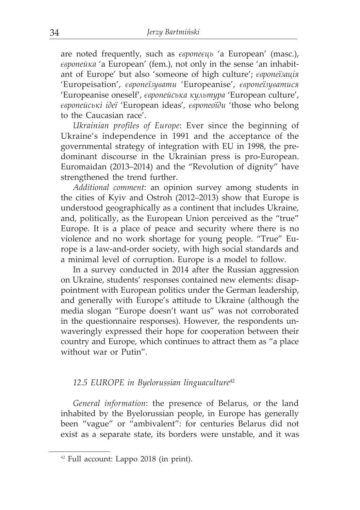are noted frequently, such as *європеєць* 'a European' (masc.), *європейка* 'a European' (fem.), not only in the sense 'an inhabitant of Europe' but also 'someone of high culture'; *європеїзація* 'Europeisation', *європеїзувати* 'Europeanise', *європеїзуватися* 'Europeanise oneself', *європейська культура* 'European culture', *європейські ідеї* 'European ideas'*, європеоїди* 'those who belong to the Caucasian race'.

*Ukrainian profiles of Europe*: Ever since the beginning of Ukraine's independence in 1991 and the acceptance of the governmental strategy of integration with EU in 1998, the predominant discourse in the Ukrainian press is pro-European. Euromaidan (2013–2014) and the "Revolution of dignity" have strengthened the trend further.

*Additional comment*: an opinion survey among students in the cities of Kyiv and Ostroh (2012–2013) show that Europe is understood geographically as a continent that includes Ukraine, and, politically, as the European Union perceived as the "true" Europe. It is a place of peace and security where there is no violence and no work shortage for young people. "True" Europe is a law-and-order society, with high social standards and a minimal level of corruption. Europe is a model to follow.

In a survey conducted in 2014 after the Russian aggression on Ukraine, students' responses contained new elements: disappointment with European politics under the German leadership, and generally with Europe's attitude to Ukraine (although the media slogan "Europe doesn't want us" was not corroborated in the questionnaire responses). However, the respondents unwaveringly expressed their hope for cooperation between their country and Europe, which continues to attract them as "a place without war or Putin"*.*

#### *12.5 EUROPE in Byelorussian linguaculture*<sup>42</sup>

*General information*: the presence of Belarus, or the land inhabited by the Byelorussian people, in Europe has generally been "vague" or "ambivalent": for centuries Belarus did not exist as a separate state, its borders were unstable, and it was

<sup>42</sup> Full account: Lappo 2018 (in print).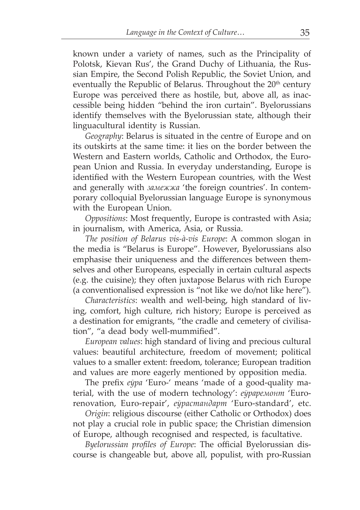known under a variety of names, such as the Principality of Polotsk, Kievan Rus', the Grand Duchy of Lithuania, the Russian Empire, the Second Polish Republic, the Soviet Union, and eventually the Republic of Belarus. Throughout the  $20<sup>th</sup>$  century Europe was perceived there as hostile, but, above all, as inaccessible being hidden "behind the iron curtain". Byelorussians identify themselves with the Byelorussian state, although their linguacultural identity is Russian.

*Geography*: Belarus is situated in the centre of Europe and on its outskirts at the same time: it lies on the border between the Western and Eastern worlds, Catholic and Orthodox, the European Union and Russia. In everyday understanding, Europe is identified with the Western European countries, with the West and generally with *замежжа* 'the foreign countries'. In contemporary colloquial Byelorussian language Europe is synonymous with the European Union.

*Oppositions*: Most frequently, Europe is contrasted with Asia; in journalism, with America, Asia, or Russia.

*The position of Belarus vis-à-vis Europe*: A common slogan in the media is "Belarus is Europe". However, Byelorussians also emphasise their uniqueness and the differences between themselves and other Europeans, especially in certain cultural aspects (e.g. the cuisine); they often juxtapose Belarus with rich Europe (a conventionalised expression is "not like we do/not like here").

*Characteristics*: wealth and well-being, high standard of living, comfort, high culture, rich history; Europe is perceived as a destination for emigrants, "the cradle and cemetery of civilisation", "a dead body well-mummified".

*European values*: high standard of living and precious cultural values: beautiful architecture, freedom of movement; political values to a smaller extent: freedom, tolerance; European tradition and values are more eagerly mentioned by opposition media.

The prefix *еўра* 'Euro-' means 'made of a good-quality material, with the use of modern technology': *еўраремонт* 'Eurorenovation, Euro-repair', *еўрастандарт* 'Euro-standard', etc.

*Origin*: religious discourse (either Catholic or Orthodox) does not play a crucial role in public space; the Christian dimension of Europe, although recognised and respected, is facultative.

*Byelorussian profiles of Europe*: The official Byelorussian discourse is changeable but, above all, populist, with pro-Russian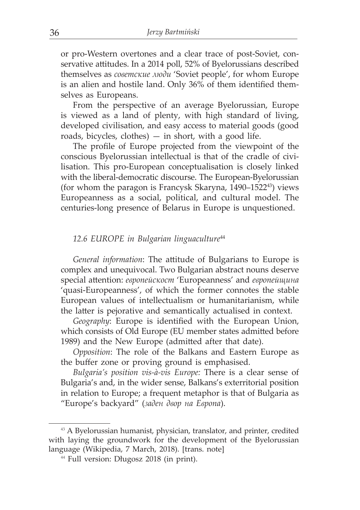or pro-Western overtones and a clear trace of post-Soviet, conservative attitudes. In a 2014 poll, 52% of Byelorussians described themselves as *советские люди* 'Soviet people', for whom Europe is an alien and hostile land. Only 36% of them identified themselves as Europeans.

From the perspective of an average Byelorussian, Europe is viewed as a land of plenty, with high standard of living, developed civilisation, and easy access to material goods (good roads, bicycles, clothes)  $-$  in short, with a good life.

The profile of Europe projected from the viewpoint of the conscious Byelorussian intellectual is that of the cradle of civilisation. This pro-European conceptualisation is closely linked with the liberal-democratic discourse. The European-Byelorussian (for whom the paragon is Francysk Skaryna, 1490–152243) views Europeanness as a social, political, and cultural model. The centuries-long presence of Belarus in Europe is unquestioned.

#### *12.6 EUROPE in Bulgarian linguaculture*<sup>44</sup>

*General information*: The attitude of Bulgarians to Europe is complex and unequivocal. Two Bulgarian abstract nouns deserve special attention: *европейскост* 'Europeanness' and *европейщина*  'quasi-Europeanness', of which the former connotes the stable European values of intellectualism or humanitarianism, while the latter is pejorative and semantically actualised in context.

*Geography*: Europe is identified with the European Union, which consists of Old Europe (EU member states admitted before 1989) and the New Europe (admitted after that date).

*Opposition*: The role of the Balkans and Eastern Europe as the buffer zone or proving ground is emphasised.

*Bulgaria's position vis-à-vis Europe:* There is a clear sense of Bulgaria's and, in the wider sense, Balkans's exterritorial position in relation to Europe; a frequent metaphor is that of Bulgaria as "Europe's backyard" (*заден двор на Европа*).

<sup>43</sup> A Byelorussian humanist, physician, translator, and printer, credited with laying the groundwork for the development of the Byelorussian language (Wikipedia, 7 March, 2018). [trans. note]

<sup>44</sup> Full version: Długosz 2018 (in print).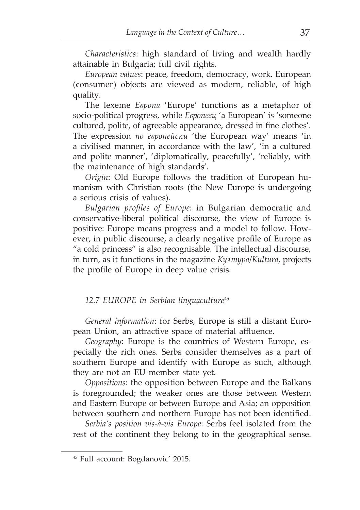*Characteristics*: high standard of living and wealth hardly attainable in Bulgaria; full civil rights.

*European values*: peace, freedom, democracy, work. European (consumer) objects are viewed as modern, reliable, of high quality.

The lexeme *Европа* 'Europe' functions as a metaphor of socio-political progress, while *Европеец* 'a European' is 'someone cultured, polite, of agreeable appearance, dressed in fine clothes'. The expression *по европейски* 'the European way' means 'in a civilised manner, in accordance with the law', 'in a cultured and polite manner', 'diplomatically, peacefully', 'reliably, with the maintenance of high standards'.

*Origin*: Old Europe follows the tradition of European humanism with Christian roots (the New Europe is undergoing a serious crisis of values).

*Bulgarian profiles of Europe*: in Bulgarian democratic and conservative-liberal political discourse, the view of Europe is positive: Europe means progress and a model to follow. However, in public discourse, a clearly negative profile of Europe as "a cold princess" is also recognisable. The intellectual discourse, in turn, as it functions in the magazine *Култура*/*Kultura*, projects the profile of Europe in deep value crisis.

#### *12.7 EUROPE in Serbian linguaculture*<sup>45</sup>

*General information*: for Serbs, Europe is still a distant European Union, an attractive space of material affluence.

*Geography*: Europe is the countries of Western Europe, especially the rich ones. Serbs consider themselves as a part of southern Europe and identify with Europe as such, although they are not an EU member state yet.

*Oppositions*: the opposition between Europe and the Balkans is foregrounded; the weaker ones are those between Western and Eastern Europe or between Europe and Asia; an opposition between southern and northern Europe has not been identified.

*Serbia's position vis-à-vis Europe*: Serbs feel isolated from the rest of the continent they belong to in the geographical sense.

<sup>45</sup> Full account: Bogdanovic' 2015.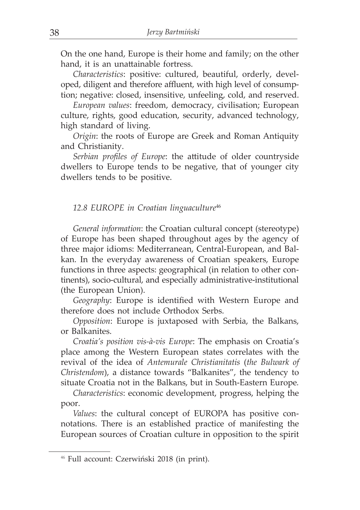On the one hand, Europe is their home and family; on the other hand, it is an unattainable fortress.

*Characteristics*: positive: cultured, beautiful, orderly, developed, diligent and therefore affluent, with high level of consumption; negative: closed, insensitive, unfeeling, cold, and reserved.

*European values*: freedom, democracy, civilisation; European culture, rights, good education, security, advanced technology, high standard of living.

*Origin*: the roots of Europe are Greek and Roman Antiquity and Christianity.

*Serbian profiles of Europe*: the attitude of older countryside dwellers to Europe tends to be negative, that of younger city dwellers tends to be positive.

#### *12.8 EUROPE in Croatian linguaculture*<sup>46</sup>

*General information*: the Croatian cultural concept (stereotype) of Europe has been shaped throughout ages by the agency of three major idioms: Mediterranean, Central-European, and Balkan. In the everyday awareness of Croatian speakers, Europe functions in three aspects: geographical (in relation to other continents), socio-cultural, and especially administrative-institutional (the European Union).

*Geography*: Europe is identified with Western Europe and therefore does not include Orthodox Serbs.

*Opposition*: Europe is juxtaposed with Serbia, the Balkans, or Balkanites.

*Croatia's position vis-à-vis Europe*: The emphasis on Croatia's place among the Western European states correlates with the revival of the idea of *Antemurale Christianitatis* (*the Bulwark of Christendom*), a distance towards "Balkanites", the tendency to situate Croatia not in the Balkans, but in South-Eastern Europe*.*

*Characteristics*: economic development, progress, helping the poor.

*Values*: the cultural concept of EUROPA has positive connotations. There is an established practice of manifesting the European sources of Croatian culture in opposition to the spirit

<sup>46</sup> Full account: Czerwiński 2018 (in print).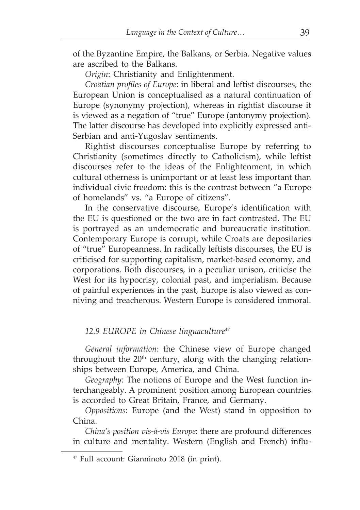of the Byzantine Empire, the Balkans, or Serbia. Negative values are ascribed to the Balkans.

*Origin*: Christianity and Enlightenment.

*Croatian profiles of Europe*: in liberal and leftist discourses, the European Union is conceptualised as a natural continuation of Europe (synonymy projection), whereas in rightist discourse it is viewed as a negation of "true" Europe (antonymy projection). The latter discourse has developed into explicitly expressed anti-Serbian and anti-Yugoslav sentiments.

Rightist discourses conceptualise Europe by referring to Christianity (sometimes directly to Catholicism), while leftist discourses refer to the ideas of the Enlightenment, in which cultural otherness is unimportant or at least less important than individual civic freedom: this is the contrast between "a Europe of homelands" vs. "a Europe of citizens".

In the conservative discourse, Europe's identification with the EU is questioned or the two are in fact contrasted. The EU is portrayed as an undemocratic and bureaucratic institution. Contemporary Europe is corrupt, while Croats are depositaries of "true" Europeanness. In radically leftists discourses, the EU is criticised for supporting capitalism, market-based economy, and corporations. Both discourses, in a peculiar unison, criticise the West for its hypocrisy, colonial past, and imperialism. Because of painful experiences in the past, Europe is also viewed as conniving and treacherous. Western Europe is considered immoral.

## *12.9 EUROPE in Chinese linguaculture*<sup>47</sup>

*General information*: the Chinese view of Europe changed throughout the  $20<sup>th</sup>$  century, along with the changing relationships between Europe, America, and China.

*Geography:* The notions of Europe and the West function interchangeably. A prominent position among European countries is accorded to Great Britain, France, and Germany.

*Oppositions*: Europe (and the West) stand in opposition to China.

*China's position vis-à-vis Europe*: there are profound differences in culture and mentality. Western (English and French) influ-

<sup>47</sup> Full account: Gianninoto 2018 (in print).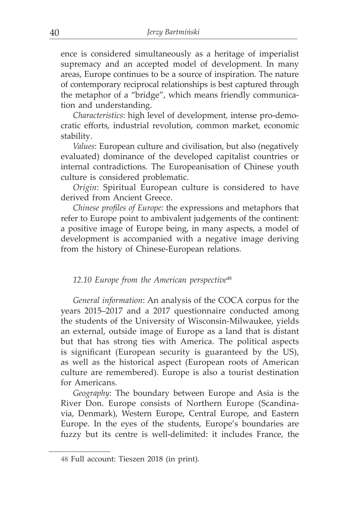ence is considered simultaneously as a heritage of imperialist supremacy and an accepted model of development. In many areas, Europe continues to be a source of inspiration. The nature of contemporary reciprocal relationships is best captured through the metaphor of a "bridge", which means friendly communication and understanding.

*Characteristics*: high level of development, intense pro-democratic efforts, industrial revolution, common market, economic stability.

*Values*: European culture and civilisation, but also (negatively evaluated) dominance of the developed capitalist countries or internal contradictions. The Europeanisation of Chinese youth culture is considered problematic.

*Origin*: Spiritual European culture is considered to have derived from Ancient Greece.

*Chinese profiles of Europe:* the expressions and metaphors that refer to Europe point to ambivalent judgements of the continent: a positive image of Europe being, in many aspects, a model of development is accompanied with a negative image deriving from the history of Chinese-European relations.

#### *12.10 Europe from the American perspective*<sup>48</sup>

*General information*: An analysis of the COCA corpus for the years 2015–2017 and a 2017 questionnaire conducted among the students of the University of Wisconsin-Milwaukee, yields an external, outside image of Europe as a land that is distant but that has strong ties with America. The political aspects is significant (European security is guaranteed by the US), as well as the historical aspect (European roots of American culture are remembered). Europe is also a tourist destination for Americans.

*Geography*: The boundary between Europe and Asia is the River Don. Europe consists of Northern Europe (Scandinavia, Denmark), Western Europe, Central Europe, and Eastern Europe. In the eyes of the students, Europe's boundaries are fuzzy but its centre is well-delimited: it includes France, the

<sup>48</sup> Full account: Tieszen 2018 (in print).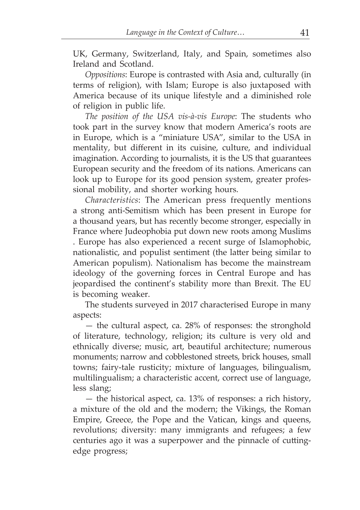UK, Germany, Switzerland, Italy, and Spain, sometimes also Ireland and Scotland.

*Oppositions*: Europe is contrasted with Asia and, culturally (in terms of religion), with Islam; Europe is also juxtaposed with America because of its unique lifestyle and a diminished role of religion in public life.

*The position of the USA vis-à-vis Europe*: The students who took part in the survey know that modern America's roots are in Europe, which is a "miniature USA", similar to the USA in mentality, but different in its cuisine, culture, and individual imagination. According to journalists, it is the US that guarantees European security and the freedom of its nations. Americans can look up to Europe for its good pension system, greater professional mobility, and shorter working hours.

*Characteristics*: The American press frequently mentions a strong anti-Semitism which has been present in Europe for a thousand years, but has recently become stronger, especially in France where Judeophobia put down new roots among Muslims . Europe has also experienced a recent surge of Islamophobic, nationalistic, and populist sentiment (the latter being similar to American populism). Nationalism has become the mainstream ideology of the governing forces in Central Europe and has jeopardised the continent's stability more than Brexit. The EU is becoming weaker.

The students surveyed in 2017 characterised Europe in many aspects:

— the cultural aspect, ca. 28% of responses: the stronghold of literature, technology, religion; its culture is very old and ethnically diverse; music, art, beautiful architecture; numerous monuments; narrow and cobblestoned streets, brick houses, small towns; fairy-tale rusticity; mixture of languages, bilingualism, multilingualism; a characteristic accent, correct use of language, less slang;

— the historical aspect, ca. 13% of responses: a rich history, a mixture of the old and the modern; the Vikings, the Roman Empire, Greece, the Pope and the Vatican, kings and queens, revolutions; diversity: many immigrants and refugees; a few centuries ago it was a superpower and the pinnacle of cuttingedge progress;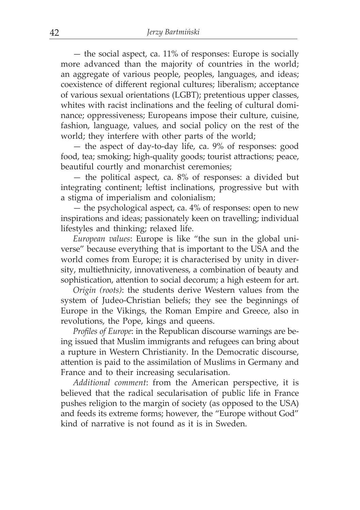— the social aspect, ca. 11% of responses: Europe is socially more advanced than the majority of countries in the world; an aggregate of various people, peoples, languages, and ideas; coexistence of different regional cultures; liberalism; acceptance of various sexual orientations (LGBT); pretentious upper classes, whites with racist inclinations and the feeling of cultural dominance; oppressiveness; Europeans impose their culture, cuisine, fashion, language, values, and social policy on the rest of the world; they interfere with other parts of the world;

— the aspect of day-to-day life, ca. 9% of responses: good food, tea; smoking; high-quality goods; tourist attractions; peace, beautiful courtly and monarchist ceremonies;

— the political aspect, ca. 8% of responses: a divided but integrating continent; leftist inclinations, progressive but with a stigma of imperialism and colonialism;

— the psychological aspect, ca. 4% of responses: open to new inspirations and ideas; passionately keen on travelling; individual lifestyles and thinking; relaxed life.

*European values*: Europe is like "the sun in the global universe" because everything that is important to the USA and the world comes from Europe; it is characterised by unity in diversity, multiethnicity, innovativeness, a combination of beauty and sophistication, attention to social decorum; a high esteem for art.

*Origin (roots)*: the students derive Western values from the system of Judeo-Christian beliefs; they see the beginnings of Europe in the Vikings, the Roman Empire and Greece, also in revolutions, the Pope, kings and queens.

*Profiles of Europe*: in the Republican discourse warnings are being issued that Muslim immigrants and refugees can bring about a rupture in Western Christianity. In the Democratic discourse, attention is paid to the assimilation of Muslims in Germany and France and to their increasing secularisation.

*Additional comment*: from the American perspective, it is believed that the radical secularisation of public life in France pushes religion to the margin of society (as opposed to the USA) and feeds its extreme forms; however, the "Europe without God" kind of narrative is not found as it is in Sweden.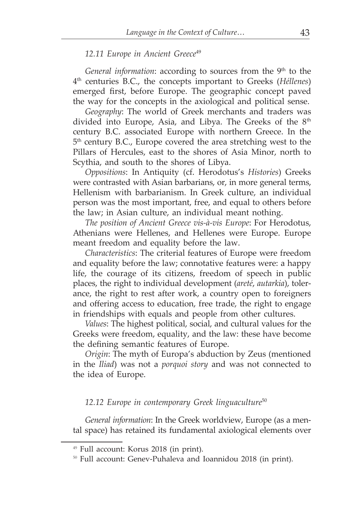#### *12.11 Europe in Ancient Greece*<sup>49</sup>

*General information*: according to sources from the 9<sup>th</sup> to the 4th centuries B.C., the concepts important to Greeks (*Héllenes*) emerged first, before Europe. The geographic concept paved the way for the concepts in the axiological and political sense.

*Geography*: The world of Greek merchants and traders was divided into Europe, Asia, and Libya. The Greeks of the 8<sup>th</sup> century B.C. associated Europe with northern Greece. In the 5th century B.C., Europe covered the area stretching west to the Pillars of Hercules, east to the shores of Asia Minor, north to Scythia, and south to the shores of Libya.

*Oppositions*: In Antiquity (cf. Herodotus's *Histories*) Greeks were contrasted with Asian barbarians, or, in more general terms, Hellenism with barbarianism. In Greek culture, an individual person was the most important, free, and equal to others before the law; in Asian culture, an individual meant nothing.

*The position of Ancient Greece vis-à-vis Europe*: For Herodotus, Athenians were Hellenes, and Hellenes were Europe. Europe meant freedom and equality before the law.

*Characteristics*: The criterial features of Europe were freedom and equality before the law; connotative features were: a happy life, the courage of its citizens, freedom of speech in public places, the right to individual development (*areté*, *autarkia*), tolerance, the right to rest after work, a country open to foreigners and offering access to education, free trade, the right to engage in friendships with equals and people from other cultures.

*Values*: The highest political, social, and cultural values for the Greeks were freedom, equality, and the law: these have become the defining semantic features of Europe.

*Origin*: The myth of Europa's abduction by Zeus (mentioned in the *Iliad*) was not a *porquoi story* and was not connected to the idea of Europe.

*12.12 Europe in contemporary Greek linguaculture*<sup>50</sup>

*General information*: In the Greek worldview, Europe (as a mental space) has retained its fundamental axiological elements over

<sup>49</sup> Full account: Korus 2018 (in print).

<sup>50</sup> Full account: Genev-Puhaleva and Ioannidou 2018 (in print).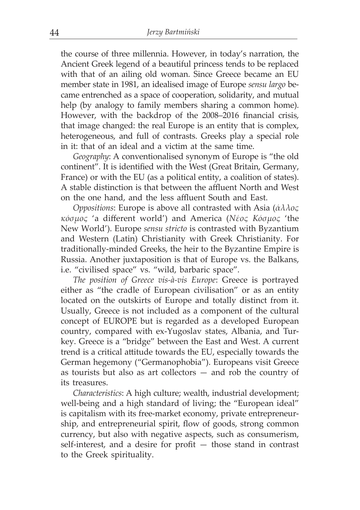the course of three millennia. However, in today's narration, the Ancient Greek legend of a beautiful princess tends to be replaced with that of an ailing old woman. Since Greece became an EU member state in 1981, an idealised image of Europe *sensu largo* became entrenched as a space of cooperation, solidarity, and mutual help (by analogy to family members sharing a common home). However, with the backdrop of the 2008–2016 financial crisis, that image changed: the real Europe is an entity that is complex, heterogeneous, and full of contrasts. Greeks play a special role in it: that of an ideal and a victim at the same time.

*Geography*: A conventionalised synonym of Europe is "the old continent". It is identified with the West (Great Britain, Germany, France) or with the EU (as a political entity, a coalition of states). A stable distinction is that between the affluent North and West on the one hand, and the less affluent South and East.

*Oppositions*: Europe is above all contrasted with Asia (*άλλος κόσμος* 'a different world') and America (*Νέος Κόσμος* 'the New World'). Europe *sensu stricto* is contrasted with Byzantium and Western (Latin) Christianity with Greek Christianity. For traditionally-minded Greeks, the heir to the Byzantine Empire is Russia. Another juxtaposition is that of Europe vs. the Balkans, i.e. "civilised space" vs. "wild, barbaric space".

*The position of Greece vis-à-vis Europe*: Greece is portrayed either as "the cradle of European civilisation" or as an entity located on the outskirts of Europe and totally distinct from it. Usually, Greece is not included as a component of the cultural concept of EUROPE but is regarded as a developed European country, compared with ex-Yugoslav states, Albania, and Turkey. Greece is a "bridge" between the East and West. A current trend is a critical attitude towards the EU, especially towards the German hegemony ("Germanophobia"). Europeans visit Greece as tourists but also as art collectors — and rob the country of its treasures.

*Characteristics*: A high culture; wealth, industrial development; well-being and a high standard of living; the "European ideal" is capitalism with its free-market economy, private entrepreneurship, and entrepreneurial spirit, flow of goods, strong common currency, but also with negative aspects, such as consumerism, self-interest, and a desire for profit — those stand in contrast to the Greek spirituality.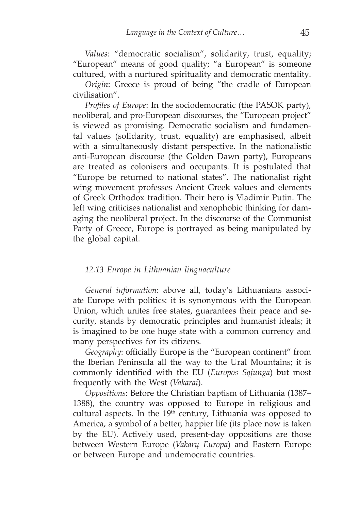*Values*: "democratic socialism", solidarity, trust, equality; "European" means of good quality; "a European" is someone cultured, with a nurtured spirituality and democratic mentality.

*Origin*: Greece is proud of being "the cradle of European civilisation".

*Profiles of Europe*: In the sociodemocratic (the PASOK party), neoliberal, and pro-European discourses, the "European project" is viewed as promising. Democratic socialism and fundamental values (solidarity, trust, equality) are emphasised, albeit with a simultaneously distant perspective. In the nationalistic anti-European discourse (the Golden Dawn party), Europeans are treated as colonisers and occupants. It is postulated that "Europe be returned to national states". The nationalist right wing movement professes Ancient Greek values and elements of Greek Orthodox tradition. Their hero is Vladimir Putin. The left wing criticises nationalist and xenophobic thinking for damaging the neoliberal project. In the discourse of the Communist Party of Greece, Europe is portrayed as being manipulated by the global capital.

#### *12.13 Europe in Lithuanian linguaculture*

*General information*: above all, today's Lithuanians associate Europe with politics: it is synonymous with the European Union, which unites free states, guarantees their peace and security, stands by democratic principles and humanist ideals; it is imagined to be one huge state with a common currency and many perspectives for its citizens.

*Geography*: officially Europe is the "European continent" from the Iberian Peninsula all the way to the Ural Mountains; it is commonly identified with the EU (*Europos Sąjunga*) but most frequently with the West (*Vakarai*).

*Oppositions*: Before the Christian baptism of Lithuania (1387– 1388), the country was opposed to Europe in religious and cultural aspects. In the 19th century, Lithuania was opposed to America, a symbol of a better, happier life (its place now is taken by the EU). Actively used, present-day oppositions are those between Western Europe (*Vakarų Europa*) and Eastern Europe or between Europe and undemocratic countries.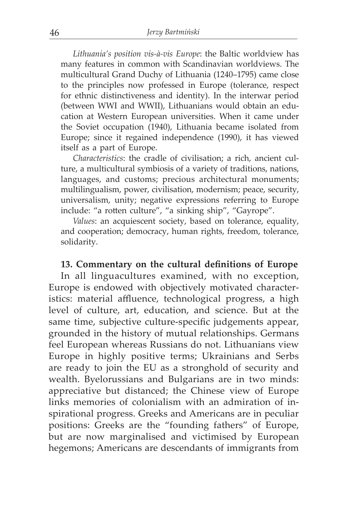*Lithuania's position vis-à-vis Europe*: the Baltic worldview has many features in common with Scandinavian worldviews. The multicultural Grand Duchy of Lithuania (1240–1795) came close to the principles now professed in Europe (tolerance, respect for ethnic distinctiveness and identity). In the interwar period (between WWI and WWII), Lithuanians would obtain an education at Western European universities. When it came under the Soviet occupation (1940), Lithuania became isolated from Europe; since it regained independence (1990), it has viewed itself as a part of Europe.

*Characteristics*: the cradle of civilisation; a rich, ancient culture, a multicultural symbiosis of a variety of traditions, nations, languages, and customs; precious architectural monuments; multilingualism, power, civilisation, modernism; peace, security, universalism, unity; negative expressions referring to Europe include: "a rotten culture", "a sinking ship", "Gayrope".

*Values*: an acquiescent society, based on tolerance, equality, and cooperation; democracy, human rights, freedom, tolerance, solidarity.

## **13. Commentary on the cultural definitions of Europe**

In all linguacultures examined, with no exception, Europe is endowed with objectively motivated characteristics: material affluence, technological progress, a high level of culture, art, education, and science. But at the same time, subjective culture-specific judgements appear, grounded in the history of mutual relationships. Germans feel European whereas Russians do not. Lithuanians view Europe in highly positive terms; Ukrainians and Serbs are ready to join the EU as a stronghold of security and wealth. Byelorussians and Bulgarians are in two minds: appreciative but distanced; the Chinese view of Europe links memories of colonialism with an admiration of inspirational progress. Greeks and Americans are in peculiar positions: Greeks are the "founding fathers" of Europe, but are now marginalised and victimised by European hegemons; Americans are descendants of immigrants from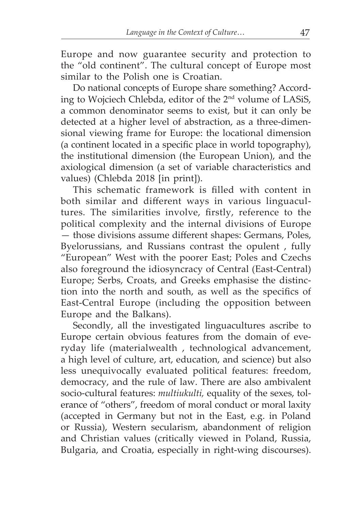Europe and now guarantee security and protection to the "old continent". The cultural concept of Europe most similar to the Polish one is Croatian.

Do national concepts of Europe share something? According to Wojciech Chlebda, editor of the 2nd volume of LASiS, a common denominator seems to exist, but it can only be detected at a higher level of abstraction, as a three-dimensional viewing frame for Europe: the locational dimension (a continent located in a specific place in world topography), the institutional dimension (the European Union), and the axiological dimension (a set of variable characteristics and values) (Chlebda 2018 [in print]).

This schematic framework is filled with content in both similar and different ways in various linguacultures. The similarities involve, firstly, reference to the political complexity and the internal divisions of Europe — those divisions assume different shapes: Germans, Poles, Byelorussians, and Russians contrast the opulent , fully "European" West with the poorer East; Poles and Czechs also foreground the idiosyncracy of Central (East-Central) Europe; Serbs, Croats, and Greeks emphasise the distinction into the north and south, as well as the specifics of East-Central Europe (including the opposition between Europe and the Balkans).

Secondly, all the investigated linguacultures ascribe to Europe certain obvious features from the domain of everyday life (materialwealth , technological advancement, a high level of culture, art, education, and science) but also less unequivocally evaluated political features: freedom, democracy, and the rule of law. There are also ambivalent socio-cultural features: *multiukulti,* equality of the sexes, tolerance of "others", freedom of moral conduct or moral laxity (accepted in Germany but not in the East, e.g. in Poland or Russia), Western secularism, abandonment of religion and Christian values (critically viewed in Poland, Russia, Bulgaria, and Croatia, especially in right-wing discourses).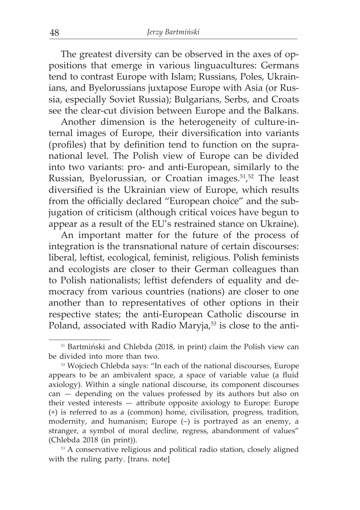The greatest diversity can be observed in the axes of oppositions that emerge in various linguacultures: Germans tend to contrast Europe with Islam; Russians, Poles, Ukrainians, and Byelorussians juxtapose Europe with Asia (or Russia, especially Soviet Russia); Bulgarians, Serbs, and Croats see the clear-cut division between Europe and the Balkans.

Another dimension is the heterogeneity of culture-internal images of Europe, their diversification into variants (profiles) that by definition tend to function on the supranational level. The Polish view of Europe can be divided into two variants: pro- and anti-European, similarly to the Russian, Byelorussian, or Croatian images.51, 52 The least diversified is the Ukrainian view of Europe, which results from the officially declared "European choice" and the subjugation of criticism (although critical voices have begun to appear as a result of the EU's restrained stance on Ukraine).

An important matter for the future of the process of integration is the transnational nature of certain discourses: liberal, leftist, ecological, feminist, religious. Polish feminists and ecologists are closer to their German colleagues than to Polish nationalists; leftist defenders of equality and democracy from various countries (nations) are closer to one another than to representatives of other options in their respective states; the anti-European Catholic discourse in Poland, associated with Radio Maryja,<sup>53</sup> is close to the anti-

<sup>51</sup> Bartmiński and Chlebda (2018, in print) claim the Polish view can be divided into more than two.

<sup>52</sup> Wojciech Chlebda says: "In each of the national discourses, Europe appears to be an ambivalent space, a space of variable value (a fluid axiology). Within a single national discourse, its component discourses can — depending on the values professed by its authors but also on their vested interests — attribute opposite axiology to Europe: Europe (+) is referred to as a (common) home, civilisation, progress, tradition, modernity, and humanism; Europe (–) is portrayed as an enemy, a stranger, a symbol of moral decline, regress, abandonment of values" (Chlebda 2018 (in print)).

<sup>&</sup>lt;sup>53</sup> A conservative religious and political radio station, closely aligned with the ruling party. [trans. note]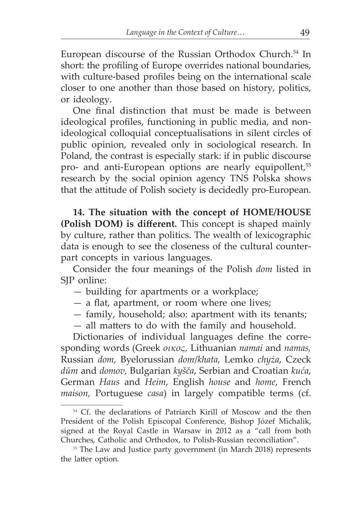European discourse of the Russian Orthodox Church.<sup>54</sup> In short: the profiling of Europe overrides national boundaries, with culture-based profiles being on the international scale closer to one another than those based on history, politics, or ideology.

One final distinction that must be made is between ideological profiles, functioning in public media, and nonideological colloquial conceptualisations in silent circles of public opinion, revealed only in sociological research. In Poland, the contrast is especially stark: if in public discourse pro- and anti-European options are nearly equipollent,<sup>55</sup> research by the social opinion agency TNS Polska shows that the attitude of Polish society is decidedly pro-European.

**14. The situation with the concept of HOME/HOUSE (Polish DOM) is different.** This concept is shaped mainly by culture, rather than politics. The wealth of lexicographic data is enough to see the closeness of the cultural counterpart concepts in various languages.

Consider the four meanings of the Polish *dom* listed in SIP online:

- building for apartments or a workplace;
- a flat, apartment, or room where one lives;
- family, household; also: apartment with its tenants;
- all matters to do with the family and household.

Dictionaries of individual languages define the corresponding words (Greek *οικος,* Lithuanian *namai* and *namas,* Russian *dom,* Byelorussian *dom*/*khata,* Lemko *chyża*, Czeck *dům* and *domov,* Bulgarian *kyšča*, Serbian and Croatian *kuća*, German *Haus* and *Heim*, English *house* and *home*, French *maison,* Portuguese *casa*) in largely compatible terms (cf.

<sup>&</sup>lt;sup>54</sup> Cf. the declarations of Patriarch Kirill of Moscow and the then President of the Polish Episcopal Conference, Bishop Józef Michalik, signed at the Royal Castle in Warsaw in 2012 as a "call from both Churches, Catholic and Orthodox, to Polish-Russian reconciliation".

<sup>&</sup>lt;sup>55</sup> The Law and Justice party government (in March 2018) represents the latter option.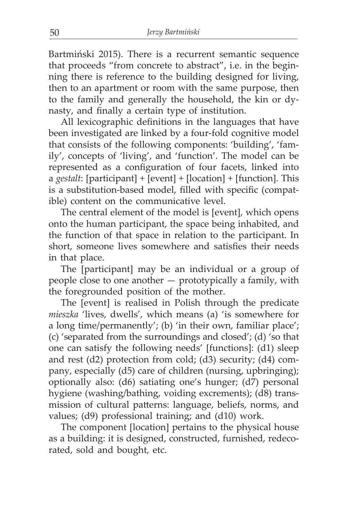Bartmiński 2015). There is a recurrent semantic sequence that proceeds "from concrete to abstract", i.e. in the beginning there is reference to the building designed for living, then to an apartment or room with the same purpose, then to the family and generally the household, the kin or dynasty, and finally a certain type of institution.

All lexicographic definitions in the languages that have been investigated are linked by a four-fold cognitive model that consists of the following components: 'building', 'family', concepts of 'living', and 'function'. The model can be represented as a configuration of four facets, linked into a *gestalt*: [participant] + [event] + [location] + [function]. This is a substitution-based model, filled with specific (compatible) content on the communicative level.

The central element of the model is [event], which opens onto the human participant, the space being inhabited, and the function of that space in relation to the participant. In short, someone lives somewhere and satisfies their needs in that place.

The [participant] may be an individual or a group of people close to one another — prototypically a family, with the foregrounded position of the mother.

The [event] is realised in Polish through the predicate *mieszka* 'lives, dwells', which means (a) 'is somewhere for a long time/permanently'; (b) 'in their own, familiar place'; (c) 'separated from the surroundings and closed'; (d) 'so that one can satisfy the following needs' [functions]: (d1) sleep and rest (d2) protection from cold; (d3) security; (d4) company, especially (d5) care of children (nursing, upbringing); optionally also: (d6) satiating one's hunger; (d7) personal hygiene (washing/bathing, voiding excrements); (d8) transmission of cultural patterns: language, beliefs, norms, and values; (d9) professional training; and (d10) work.

The component [location] pertains to the physical house as a building: it is designed, constructed, furnished, redecorated, sold and bought, etc.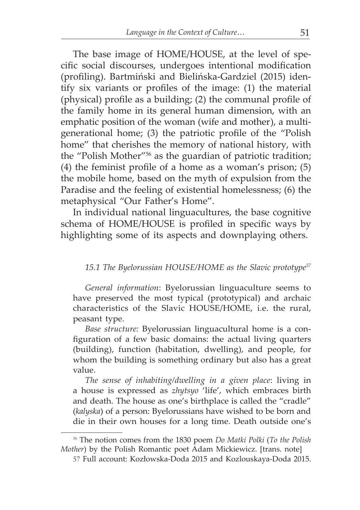The base image of HOME/HOUSE, at the level of specific social discourses, undergoes intentional modification (profiling). Bartmiński and Bielińska-Gardziel (2015) identify six variants or profiles of the image: (1) the material (physical) profile as a building; (2) the communal profile of the family home in its general human dimension, with an emphatic position of the woman (wife and mother), a multigenerational home; (3) the patriotic profile of the "Polish home" that cherishes the memory of national history, with the "Polish Mother"56 as the guardian of patriotic tradition; (4) the feminist profile of a home as a woman's prison; (5) the mobile home, based on the myth of expulsion from the Paradise and the feeling of existential homelessness; (6) the metaphysical "Our Father's Home".

In individual national linguacultures, the base cognitive schema of HOME/HOUSE is profiled in specific ways by highlighting some of its aspects and downplaying others.

#### *15.1 The Byelorussian HOUSE/HOME as the Slavic prototype<sup>57</sup>*

*General information*: Byelorussian linguaculture seems to have preserved the most typical (prototypical) and archaic characteristics of the Slavic HOUSE/HOME, i.e. the rural, peasant type.

*Base structure:* Byelorussian linguacultural home is a configuration of a few basic domains: the actual living quarters (building), function (habitation, dwelling), and people, for whom the building is something ordinary but also has a great value.

*The sense of inhabiting/dwelling in a given place*: living in a house is expressed as *zhytsyo* 'life', which embraces birth and death. The house as one's birthplace is called the "cradle" (*kalyska*) of a person: Byelorussians have wished to be born and die in their own houses for a long time. Death outside one's

<sup>56</sup> The notion comes from the 1830 poem *Do Matki Polki* (*To the Polish Mother*) by the Polish Romantic poet Adam Mickiewicz. [trans. note]

<sup>57</sup> Full account: Kozłowska-Doda 2015 and Kozlouskaya-Doda 2015.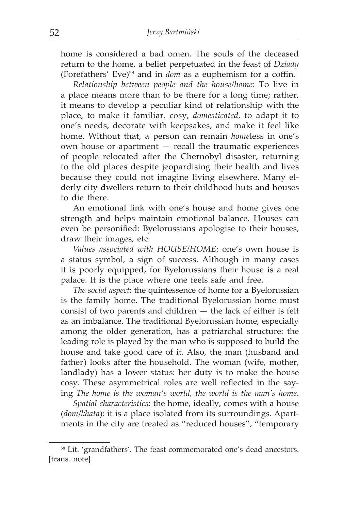home is considered a bad omen. The souls of the deceased return to the home, a belief perpetuated in the feast of *Dziady* (Forefathers' Eve)58 and in *dom* as a euphemism for a coffin*.* 

*Relationship between people and the house/home*: To live in a place means more than to be there for a long time; rather, it means to develop a peculiar kind of relationship with the place, to make it familiar, cosy, *domesticated*, to adapt it to one's needs, decorate with keepsakes, and make it feel like home. Without that, a person can remain *home*less in one's own house or apartment — recall the traumatic experiences of people relocated after the Chernobyl disaster, returning to the old places despite jeopardising their health and lives because they could not imagine living elsewhere. Many elderly city-dwellers return to their childhood huts and houses to die there.

An emotional link with one's house and home gives one strength and helps maintain emotional balance. Houses can even be personified: Byelorussians apologise to their houses, draw their images, etc.

*Values associated with HOUSE/HOME*: one's own house is a status symbol, a sign of success. Although in many cases it is poorly equipped, for Byelorussians their house is a real palace. It is the place where one feels safe and free.

*The social aspect*: the quintessence of home for a Byelorussian is the family home. The traditional Byelorussian home must consist of two parents and children — the lack of either is felt as an imbalance. The traditional Byelorussian home, especially among the older generation, has a patriarchal structure: the leading role is played by the man who is supposed to build the house and take good care of it. Also, the man (husband and father) looks after the household. The woman (wife, mother, landlady) has a lower status: her duty is to make the house cosy. These asymmetrical roles are well reflected in the saying *The home is the woman's world, the world is the man's home*.

*Spatial characteristics*: the home, ideally, comes with a house (*dom*/*khata*): it is a place isolated from its surroundings. Apartments in the city are treated as "reduced houses", "temporary

<sup>&</sup>lt;sup>58</sup> Lit. 'grandfathers'. The feast commemorated one's dead ancestors. [trans. note]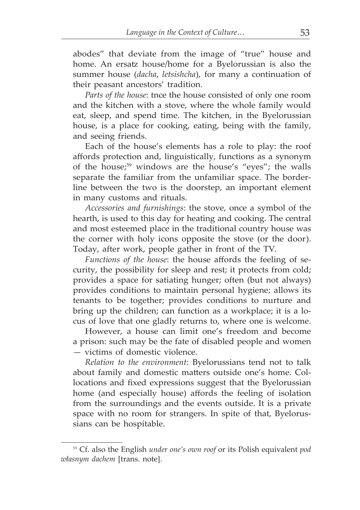abodes" that deviate from the image of "true" house and home. An ersatz house/home for a Byelorussian is also the summer house (*dacha*, *letsishcha*), for many a continuation of their peasant ancestors' tradition.

*Parts of the house*: tnce the house consisted of only one room and the kitchen with a stove, where the whole family would eat, sleep, and spend time. The kitchen, in the Byelorussian house, is a place for cooking, eating, being with the family, and seeing friends.

Each of the house's elements has a role to play: the roof affords protection and, linguistically, functions as a synonym of the house;59 windows are the house's "eyes"; the walls separate the familiar from the unfamiliar space. The borderline between the two is the doorstep, an important element in many customs and rituals.

*Accessories and furnishings*: the stove, once a symbol of the hearth, is used to this day for heating and cooking. The central and most esteemed place in the traditional country house was the corner with holy icons opposite the stove (or the door). Today, after work, people gather in front of the TV.

*Functions of the house*: the house affords the feeling of security, the possibility for sleep and rest; it protects from cold; provides a space for satiating hunger; often (but not always) provides conditions to maintain personal hygiene; allows its tenants to be together; provides conditions to nurture and bring up the children; can function as a workplace; it is a locus of love that one gladly returns to, where one is welcome.

However, a house can limit one's freedom and become a prison: such may be the fate of disabled people and women — victims of domestic violence.

*Relation to the environment*: Byelorussians tend not to talk about family and domestic matters outside one's home. Collocations and fixed expressions suggest that the Byelorussian home (and especially house) affords the feeling of isolation from the surroundings and the events outside. It is a private space with no room for strangers. In spite of that, Byelorussians can be hospitable.

<sup>59</sup> Cf. also the English *under one's own roof* or its Polish equivalent *pod własnym dachem* [trans. note].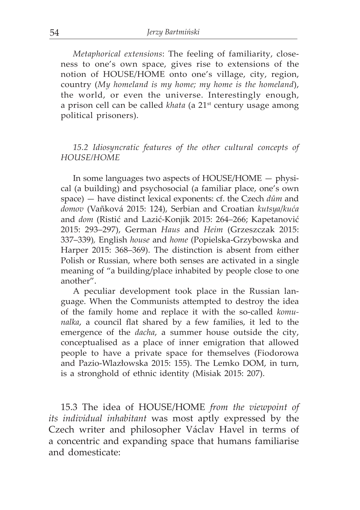*Metaphorical extensions*: The feeling of familiarity, closeness to one's own space, gives rise to extensions of the notion of HOUSE/HOME onto one's village, city, region, country (*My homeland is my home; my home is the homeland*), the world, or even the universe. Interestingly enough, a prison cell can be called *khata* (a 21<sup>st</sup> century usage among political prisoners).

## *15.2 Idiosyncratic features of the other cultural concepts of HOUSE/HOME*

In some languages two aspects of HOUSE/HOME — physical (a building) and psychosocial (a familiar place, one's own space) — have distinct lexical exponents: cf. the Czech *dům* and *domov* (Vañková 2015: 124), Serbian and Croatian *kutsya*/*kuća*  and *dom* (Ristić and Lazić-Konjik 2015: 264–266; Kapetanović 2015: 293–297), German *Haus* and *Heim* (Grzeszczak 2015: 337–339)*,* English *house* and *home* (Popielska-Grzybowska and Harper 2015: 368–369). The distinction is absent from either Polish or Russian, where both senses are activated in a single meaning of "a building/place inhabited by people close to one another".

A peculiar development took place in the Russian language. When the Communists attempted to destroy the idea of the family home and replace it with the so-called *komunalka*, a council flat shared by a few families, it led to the emergence of the *dacha*, a summer house outside the city, conceptualised as a place of inner emigration that allowed people to have a private space for themselves (Fiodorowa and Pazio-Wlazłowska 2015: 155). The Lemko DOM, in turn, is a stronghold of ethnic identity (Misiak 2015: 207).

15.3 The idea of HOUSE/HOME *from the viewpoint of its individual inhabitant* was most aptly expressed by the Czech writer and philosopher Václav Havel in terms of a concentric and expanding space that humans familiarise and domesticate: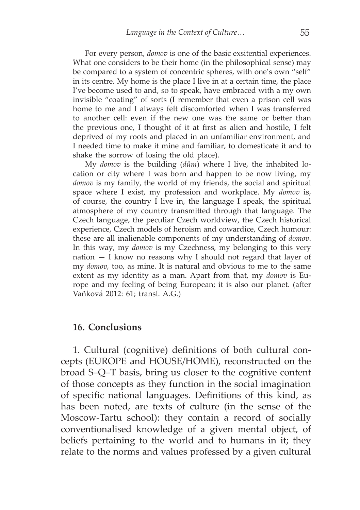For every person, *domov* is one of the basic exsitential experiences. What one considers to be their home (in the philosophical sense) may be compared to a system of concentric spheres, with one's own "self" in its centre. My home is the place I live in at a certain time, the place I've become used to and, so to speak, have embraced with a my own invisible "coating" of sorts (I remember that even a prison cell was home to me and I always felt discomforted when I was transferred to another cell: even if the new one was the same or better than the previous one, I thought of it at first as alien and hostile, I felt deprived of my roots and placed in an unfamiliar environment, and I needed time to make it mine and familiar, to domesticate it and to shake the sorrow of losing the old place).

My *domov* is the building (*dům*) where I live, the inhabited location or city where I was born and happen to be now living, my *domov* is my family, the world of my friends, the social and spiritual space where I exist, my profession and workplace. My *domov* is, of course, the country I live in, the language I speak, the spiritual atmosphere of my country transmitted through that language. The Czech language, the peculiar Czech worldview, the Czech historical experience, Czech models of heroism and cowardice, Czech humour: these are all inalienable components of my understanding of *domov*. In this way, my *domov* is my Czechness, my belonging to this very nation — I know no reasons why I should not regard that layer of my *domov,* too, as mine. It is natural and obvious to me to the same extent as my identity as a man. Apart from that, my *domov* is Europe and my feeling of being European; it is also our planet. (after Vañková 2012: 61; transl. A.G.)

#### **16. Conclusions**

1. Cultural (cognitive) definitions of both cultural concepts (EUROPE and HOUSE/HOME), reconstructed on the broad S–Q–T basis, bring us closer to the cognitive content of those concepts as they function in the social imagination of specific national languages. Definitions of this kind, as has been noted, are texts of culture (in the sense of the Moscow-Tartu school): they contain a record of socially conventionalised knowledge of a given mental object, of beliefs pertaining to the world and to humans in it; they relate to the norms and values professed by a given cultural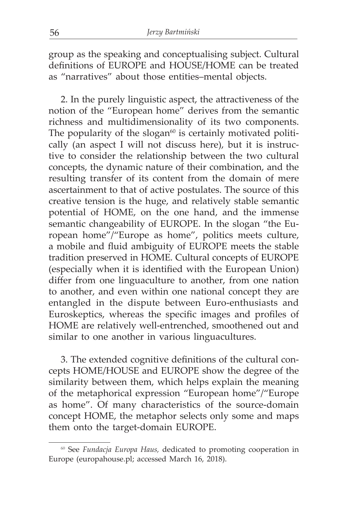group as the speaking and conceptualising subject. Cultural definitions of EUROPE and HOUSE/HOME can be treated as "narratives" about those entities–mental objects.

2. In the purely linguistic aspect, the attractiveness of the notion of the "European home" derives from the semantic richness and multidimensionality of its two components. The popularity of the slogan $60$  is certainly motivated politically (an aspect I will not discuss here), but it is instructive to consider the relationship between the two cultural concepts, the dynamic nature of their combination, and the resulting transfer of its content from the domain of mere ascertainment to that of active postulates. The source of this creative tension is the huge, and relatively stable semantic potential of HOME, on the one hand, and the immense semantic changeability of EUROPE. In the slogan "the European home"/"Europe as home", politics meets culture, a mobile and fluid ambiguity of EUROPE meets the stable tradition preserved in HOME. Cultural concepts of EUROPE (especially when it is identified with the European Union) differ from one linguaculture to another, from one nation to another, and even within one national concept they are entangled in the dispute between Euro-enthusiasts and Euroskeptics, whereas the specific images and profiles of HOME are relatively well-entrenched, smoothened out and similar to one another in various linguacultures.

3. The extended cognitive definitions of the cultural concepts HOME/HOUSE and EUROPE show the degree of the similarity between them, which helps explain the meaning of the metaphorical expression "European home"/"Europe as home". Of many characteristics of the source-domain concept HOME, the metaphor selects only some and maps them onto the target-domain EUROPE.

<sup>60</sup> See *Fundacja Europa Haus,* dedicated to promoting cooperation in Europe (europahouse.pl; accessed March 16, 2018).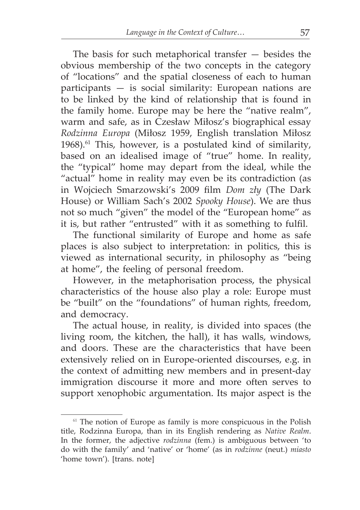The basis for such metaphorical transfer — besides the obvious membership of the two concepts in the category of "locations" and the spatial closeness of each to human participants — is social similarity: European nations are to be linked by the kind of relationship that is found in the family home. Europe may be here the "native realm", warm and safe, as in Czesław Miłosz's biographical essay *Rodzinna Europa* (Miłosz 1959, English translation Miłosz 1968). $61$  This, however, is a postulated kind of similarity, based on an idealised image of "true" home. In reality, the "typical" home may depart from the ideal, while the "actual" home in reality may even be its contradiction (as in Wojciech Smarzowski's 2009 film *Dom zły* (The Dark House) or William Sach's 2002 *Spooky House*). We are thus not so much "given" the model of the "European home" as it is, but rather "entrusted" with it as something to fulfil.

The functional similarity of Europe and home as safe places is also subject to interpretation: in politics, this is viewed as international security, in philosophy as "being at home", the feeling of personal freedom.

However, in the metaphorisation process, the physical characteristics of the house also play a role: Europe must be "built" on the "foundations" of human rights, freedom, and democracy.

The actual house, in reality, is divided into spaces (the living room, the kitchen, the hall), it has walls, windows, and doors. These are the characteristics that have been extensively relied on in Europe-oriented discourses, e.g. in the context of admitting new members and in present-day immigration discourse it more and more often serves to support xenophobic argumentation. Its major aspect is the

 $61$  The notion of Europe as family is more conspicuous in the Polish title, Rodzinna Europa, than in its English rendering as *Native Realm*. In the former, the adjective *rodzinna* (fem.) is ambiguous between 'to do with the family' and 'native' or 'home' (as in *rodzinne* (neut.) *miasto* 'home town'). [trans. note]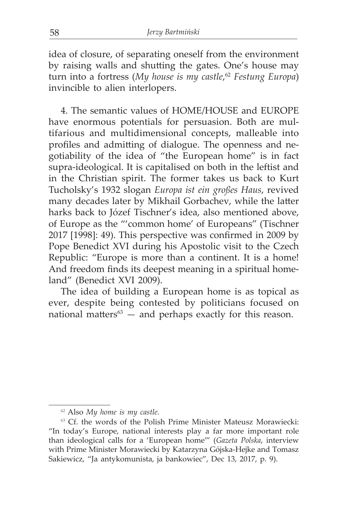idea of closure, of separating oneself from the environment by raising walls and shutting the gates. One's house may turn into a fortress (*My house is my castle*, <sup>62</sup> *Festung Europa*) invincible to alien interlopers.

4. The semantic values of HOME/HOUSE and EUROPE have enormous potentials for persuasion. Both are multifarious and multidimensional concepts, malleable into profiles and admitting of dialogue. The openness and negotiability of the idea of "the European home" is in fact supra-ideological. It is capitalised on both in the leftist and in the Christian spirit. The former takes us back to Kurt Tucholsky's 1932 slogan *Europa ist ein großes Haus*, revived many decades later by Mikhail Gorbachev, while the latter harks back to Józef Tischner's idea, also mentioned above, of Europe as the "'common home' of Europeans" (Tischner 2017 [1998]: 49). This perspective was confirmed in 2009 by Pope Benedict XVI during his Apostolic visit to the Czech Republic: "Europe is more than a continent. It is a home! And freedom finds its deepest meaning in a spiritual homeland" (Benedict XVI 2009).

The idea of building a European home is as topical as ever, despite being contested by politicians focused on national matters $63$  — and perhaps exactly for this reason.

<sup>62</sup> Also *My home is my castle*.

<sup>&</sup>lt;sup>63</sup> Cf. the words of the Polish Prime Minister Mateusz Morawiecki: "In today's Europe, national interests play a far more important role than ideological calls for a 'European home'" (*Gazeta Polska*, interview with Prime Minister Morawiecki by Katarzyna Gójska-Hejke and Tomasz Sakiewicz, "Ja antykomunista, ja bankowiec", Dec 13, 2017, p. 9).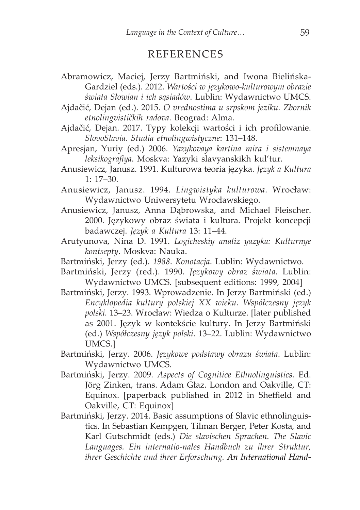## REFERENCES

- Abramowicz, Maciej, Jerzy Bartmiński, and Iwona Bielińska-Gardziel (eds.). 2012. *Wartości w językowo-kulturowym obrazie świata Słowian i ich sąsiadów*. Lublin: Wydawnictwo UMCS.
- Ajdačić, Dejan (ed.). 2015. *O vrednostima u srpskom jeziku. Zbornik etnolingvističkih radova*. Beograd: Alma.
- Ajdačić, Dejan. 2017. Typy kolekcji wartości i ich profilowanie. *SlovoSlavia. Studia etnolingwistyczne*: 131–148.
- Apresjan, Yuriy (ed.) 2006. *Yazykovaya kartina mira i sistemnaya leksikografiya*. Моskva: Yazyki slavyanskikh kul'tur.
- Anusiewicz, Janusz. 1991. Kulturowa teoria języka. *Język a Kultura* 1: 17–30.
- Anusiewicz, Janusz. 1994. *Lingwistyka kulturowa*. Wrocław: Wydawnictwo Uniwersytetu Wrocławskiego.
- Anusiewicz, Janusz, Anna Dąbrowska, and Michael Fleischer. 2000. Językowy obraz świata i kultura. Projekt koncepcji badawczej. *Język a Kultura* 13: 11–44.
- Arutyunova, Nina D. 1991. *Logicheskiy analiz yazyka: Кulturnye kontsepty*. Моskva: Nauka.
- Bartmiński, Jerzy (ed.). *1988*. *Konotacja*. Lublin: Wydawnictwo.
- Bartmiński, Jerzy (red.). 1990. *Językowy obraz świata.* Lublin: Wydawnictwo UMCS. [subsequent editions: 1999, 2004]
- Bartmiński, Jerzy. 1993. Wprowadzenie. In Jerzy Bartmiński (ed.) *Encyklopedia kultury polskiej XX wieku. Współczesny język polski.* 13–23. Wrocław: Wiedza o Kulturze. [later published as 2001. Język w kontekście kultury. In Jerzy Bartmiński (ed.) *Współczesny język polski*. 13–22. Lublin: Wydawnictwo UMCS.]
- Bartmiński, Jerzy. 2006. *Językowe podstawy obrazu świata*. Lublin: Wydawnictwo UMCS.
- Bartmiński, Jerzy. 2009. *Aspects of Cognitice Ethnolinguistics.* Ed. Jörg Zinken, trans. Adam Głaz. London and Oakville, CT: Equinox. [paperback published in 2012 in Sheffield and Oakville, CT: Equinox]
- Bartmiński, Jerzy. 2014. Basic assumptions of Slavic ethnolinguistics. In Sebastian Kempgen, Tilman Berger, Peter Kosta, and Karl Gutschmidt (eds.) *Die slavischen Sprachen. The Slavic Languages. Ein internatio-nales Handbuch zu ihrer Struktur, ihrer Geschichte und ihrer Erforschung. An International Hand-*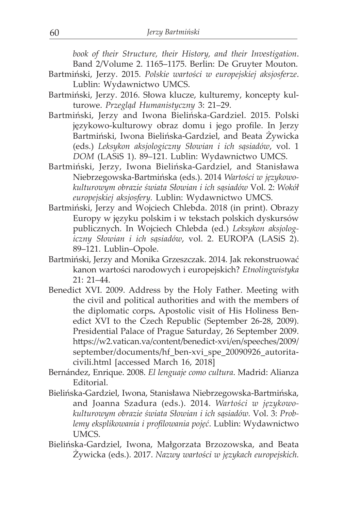*book of their Structure, their History, and their Investigation*.

- Band 2/Volume 2. 1165–1175. Berlin: De Gruyter Mouton.
- Bartmiński, Jerzy. 2015. *Polskie wartości w europejskiej aksjosferze*. Lublin: Wydawnictwo UMCS.
- Bartmiński, Jerzy. 2016. Słowa klucze, kulturemy, koncepty kulturowe. *Przegląd Humanistyczny* 3: 21–29.
- Bartmiński, Jerzy and Iwona Bielińska-Gardziel. 2015. Polski językowo-kulturowy obraz domu i jego profile. In Jerzy Bartmiński, Iwona Bielińska-Gardziel, and Beata Żywicka (eds.) *Leksykon aksjologiczny Słowian i ich sąsiadów*, vol. 1 *DOM* (LASiS 1). 89–121. Lublin: Wydawnictwo UMCS.
- Bartmiński, Jerzy, Iwona Bielińska-Gardziel, and Stanisława Niebrzegowska-Bartmińska (eds.). 2014 *Wartości w językowokulturowym obrazie świata Słowian i ich sąsiadów* Vol. 2: *Wokół europejskiej aksjosfery.* Lublin: Wydawnictwo UMCS.
- Bartmiński, Jerzy and Wojciech Chlebda. 2018 (in print). Obrazy Europy w języku polskim i w tekstach polskich dyskursów publicznych. In Wojciech Chlebda (ed.) *Leksykon aksjologiczny Słowian i ich sąsiadów*, vol. 2. EUROPA (LASiS 2). 89–121. Lublin–Opole.
- Bartmiński, Jerzy and Monika Grzeszczak. 2014. Jak rekonstruować kanon wartości narodowych i europejskich? *Etnolingwistyka* 21: 21–44.
- Benedict XVI. 2009. Address by the Holy Father. Meeting with the civil and political authorities and with the members of the diplomatic corps**.** Apostolic visit of His Holiness Benedict XVI to the Czech Republic (September 26-28, 2009). Presidential Palace of Prague Saturday, 26 September 2009. https://w2.vatican.va/content/benedict-xvi/en/speeches/2009/ september/documents/hf\_ben-xvi\_spe\_20090926\_autoritacivili.html [accessed March 16, 2018]
- Bernández, Enrique. 2008. *El lenguaje como cultura*. Madrid: Alianza **Editorial**
- Bielińska-Gardziel, Iwona, Stanisława Niebrzegowska-Bartmińska, and Joanna Szadura (eds.). 2014. *Wartości w językowokulturowym obrazie świata Słowian i ich sąsiadów.* Vol. 3: *Problemy eksplikowania i profilowania pojęć*. Lublin: Wydawnictwo UMCS.
- Bielińska-Gardziel, Iwona, Małgorzata Brzozowska, and Beata Żywicka (eds.). 2017. *Nazwy wartości w językach europejskich.*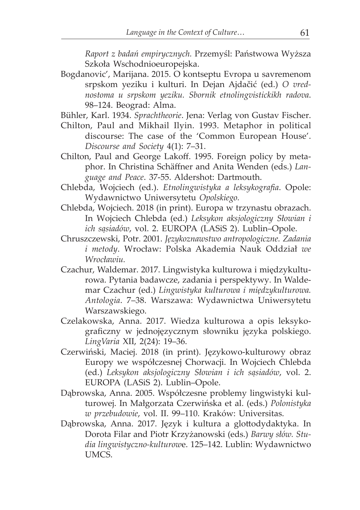*Raport z badań empirycznych.* Przemyśl: Państwowa Wyższa Szkoła Wschodnioeuropejska.

- Bogdanovic', Marijana. 2015. O kontseptu Evropa u savremenom srpskom yeziku i kulturi. In Dejan Ajdačić (ed.) *O vrednostoma u srpskom yeziku. Sbornik etnolingvistickikh radova*. 98–124. Beograd: Alma.
- Bühler, Karl. 1934. *Sprachtheorie*. Jena: Verlag von Gustav Fischer.
- Chilton, Paul and Mikhail Ilyin. 1993. Metaphor in political discourse: The case of the 'Common European House'. *Discourse and Society* 4(1): 7–31.
- Chilton, Paul and George Lakoff. 1995. Foreign policy by metaphor. In Christina Schäffner and Anita Wenden (eds.) *Language and Peace*. 37-55. Aldershot: Dartmouth.
- Chlebda, Wojciech (ed.). *Etnolingwistyka a leksykografia*. Opole: Wydawnictwo Uniwersytetu *Opolskiego.*
- Chlebda, Wojciech. 2018 (in print). Europa w trzynastu obrazach. In Wojciech Chlebda (ed.) *Leksykon aksjologiczny Słowian i ich sąsiadów*, vol. 2. EUROPA (LASiS 2). Lublin–Opole.
- Chruszczewski, Potr. 2001. *Językoznawstwo antropologiczne. Zadania i metody*. Wrocław: Polska Akademia Nauk Oddział *we Wrocławiu.*
- Czachur, Waldemar. 2017. Lingwistyka kulturowa i międzykulturowa. Pytania badawcze, zadania i perspektywy. In Waldemar Czachur (ed.) *Lingwistyka kulturowa i międzykulturowa. Antologia*. 7–38. Warszawa: Wydawnictwa Uniwersytetu Warszawskiego.
- Czelakowska, Anna. 2017. Wiedza kulturowa a opis leksykograficzny w jednojęzycznym słowniku języka polskiego. *LingVaria* XII, 2(24): 19–36.
- Czerwiński, Maciej. 2018 (in print). Językowo-kulturowy obraz Europy we współczesnej Chorwacji. In Wojciech Chlebda (ed.) *Leksykon aksjologiczny Słowian i ich sąsiadów*, vol. 2. EUROPA (LASiS 2). Lublin–Opole.
- Dąbrowska, Anna. 2005. Współczesne problemy lingwistyki kulturowej. In Małgorzata Czerwińska et al. (eds.) *Polonistyka w przebudowie*, vol. II. 99–110. Kraków: Universitas.
- Dąbrowska, Anna. 2017. Język i kultura a glottodydaktyka. In Dorota Filar and Piotr Krzyżanowski (eds.) *Barwy słów. Studia lingwistyczno-kulturow*e. 125–142. Lublin: Wydawnictwo UMCS.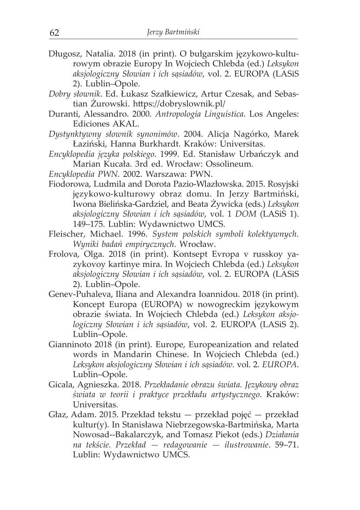- Długosz, Natalia. 2018 (in print). O bułgarskim językowo-kulturowym obrazie Europy In Wojciech Chlebda (ed.) *Leksykon aksjologiczny Słowian i ich sąsiadów*, vol. 2. EUROPA (LASiS 2). Lublin–Opole.
- *Dobry słownik*. Ed. Łukasz Szałkiewicz, Artur Czesak, and Sebastian Żurowski. https://dobryslownik.pl/
- Duranti, Alessandro. 2000. *Antropología Linguística*. Los Angeles: Ediciones AKAL.
- *Dystynktywny słownik synonimów*. 2004. Alicja Nagórko, Marek Łaziński, Hanna Burkhardt. Kraków: Universitas.
- *Encyklopedia języka polskiego*. 1999. Ed. Stanisław Urbańczyk and Marian Kucała. 3rd ed. Wrocław: Ossolineum.
- *Encyklopedia PWN*. 2002. Warszawa: PWN.
- Fiodorowa, Ludmila and Dorota Pazio-Wlazłowska. 2015. Rosyjski językowo-kulturowy obraz domu. In Jerzy Bartmiński, Iwona Bielińska-Gardziel, and Beata Żywicka (eds.) *Leksykon aksjologiczny Słowian i ich sąsiadów*, vol. 1 *DOM* (LASiS 1). 149–175. Lublin: Wydawnictwo UMCS.
- Fleischer, Michael. 1996. *System polskich symboli kolektywnych. Wyniki badań empirycznych*. Wrocław.
- Frolova, Olga. 2018 (in print). Коntsept Еvropa v russkoy yazykovoy kartinye mira. In Wojciech Chlebda (ed.) *Leksykon aksjologiczny Słowian i ich sąsiadów*, vol. 2. EUROPA (LASiS 2). Lublin–Opole.
- Genev-Puhaleva, Iliana and Alexandra Ioannidou. 2018 (in print). Koncept Europa (EUROPA) w nowogreckim językowym obrazie świata. In Wojciech Chlebda (ed.) *Leksykon aksjologiczny Słowian i ich sąsiadów*, vol. 2. EUROPA (LASiS 2). Lublin–Opole.
- Gianninoto 2018 (in print). Europe, Europeanization and related words in Mandarin Chinese. In Wojciech Chlebda (ed.) *Leksykon aksjologiczny Słowian i ich sąsiadów*. vol. 2. *EUROPA*. Lublin–Opole.
- Gicala, Agnieszka. 2018. *Przekładanie obrazu świata. Językowy obraz świata w teorii i praktyce przekładu artystycznego*. Kraków: Universitas.
- Głaz, Adam. 2015. Przekład tekstu przekład pojęć przekład kultur(y). In Stanisława Niebrzegowska-Bartmińska, Marta Nowosad--Bakalarczyk, and Tomasz Piekot (eds.) *Działania na tekście. Przekład — redagowanie — ilustrowanie*. 59–71. Lublin: Wydawnictwo UMCS.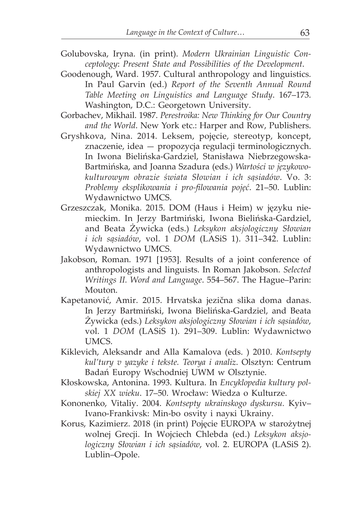- Golubovska, Iryna. (in print). *Modern Ukrainian Linguistic Conceptology*: *Present State and Possibilities of the Development*.
- Goodenough, Ward. 1957. Cultural anthropology and linguistics. In Paul Garvin (ed.) *Report of the Seventh Annual Round Table Meeting on Linguistics and Language Study*. 167–173. Washington, D.C.: Georgetown University.
- Gorbachev, Mikhail. 1987. *Perestroika: New Thinking for Our Country and the World*. New York etc.: Harper and Row, Publishers.
- Gryshkova, Nina. 2014. Leksem, pojęcie, stereotyp, koncept, znaczenie, idea — propozycja regulacji terminologicznych. In Iwona Bielińska-Gardziel, Stanisława Niebrzegowska-Bartmińska, and Joanna Szadura (eds.) *Wartości w językowokulturowym obrazie świata Słowian i ich sąsiadów*. Vo. 3: *Problemy eksplikowania i pro-filowania pojęć*. 21–50. Lublin: Wydawnictwo UMCS.
- Grzeszczak, Monika. 2015. DOM (Haus i Heim) w języku niemieckim. In Jerzy Bartmiński, Iwona Bielińska-Gardziel, and Beata Żywicka (eds.) *Leksykon aksjologiczny Słowian i ich sąsiadów*, vol. 1 *DOM* (LASiS 1). 311–342. Lublin: Wydawnictwo UMCS.
- Jakobson, Roman. 1971 [1953]. Results of a joint conference of anthropologists and linguists. In Roman Jakobson. *Selected Writings II. Word and Language*. 554–567. The Hague–Parin: Mouton.
- Kapetanović, Amir. 2015. Hrvatska jezična slika doma danas. In Jerzy Bartmiński, Iwona Bielińska-Gardziel, and Beata Żywicka (eds.) *Leksykon aksjologiczny Słowian i ich sąsiadów*, vol. 1 *DOM* (LASiS 1). 291–309. Lublin: Wydawnictwo UMCS.
- Kiklevich, Aleksandr and Alla Kamalova (eds. ) 2010. *Kontsepty kul'tury v yazyke i tekste. Teorya i analiz*. Olsztyn: Centrum Badań Europy Wschodniej UWM w Olsztynie.
- Kłoskowska, Antonina. 1993. Kultura. In *Encyklopedia kultury polskiej XX wieku*. 17–50. Wrocław: Wiedza o Kulturze.
- Kononenko, Vitaliy. 2004. *Коntsepty ukrainskogo dyskursu.* Kyiv– Ivano-Frankivsk: Міn-bо оsvity і nаукi Ukrainy.
- Korus, Kazimierz. 2018 (in print) Pojęcie EUROPA w starożytnej wolnej Grecji. In Wojciech Chlebda (ed.) *Leksykon aksjologiczny Słowian i ich sąsiadów*, vol. 2. EUROPA (LASiS 2). Lublin–Opole.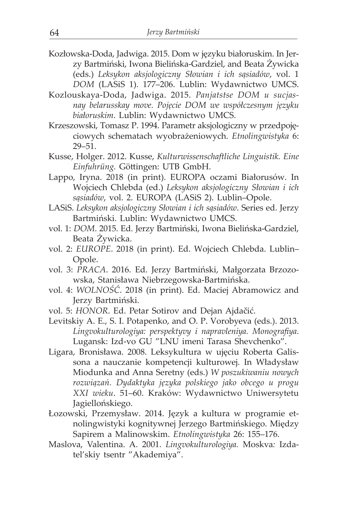- Kozłowska-Doda, Jadwiga. 2015. Dom w języku białoruskim. In Jerzy Bartmiński, Iwona Bielińska-Gardziel, and Beata Żywicka (eds.) *Leksykon aksjologiczny Słowian i ich sąsiadów*, vol. 1 *DOM* (LASiS 1). 177–206. Lublin: Wydawnictwo UMCS.
- Kozlouskaya-Doda, Jadwiga. 2015. *Panjatstse DOM u sucjasnay belarusskay move. Pojęcie DOM we współczesnym języku białoruskim*. Lublin: Wydawnictwo UMCS.
- Krzeszowski, Tomasz P. 1994. Parametr aksjologiczny w przedpojęciowych schematach wyobrażeniowych. *Etnolingwistyka* 6: 29–51.
- Kusse, Holger. 2012. Kusse, *Kulturwissenschaftliche Linguistik. Eine Einfuhrüng.* Göttingen: UTB GmbH.
- Lappo, Iryna. 2018 (in print). EUROPA oczami Białorusów. In Wojciech Chlebda (ed.) *Leksykon aksjologiczny Słowian i ich sąsiadów*, vol. 2. EUROPA (LASiS 2). Lublin–Opole.
- LASiS. *Leksykon aksjologiczny Słowian i ich sąsiadów*. Series ed. Jerzy Bartmiński. Lublin: Wydawnictwo UMCS.
- vol. 1: *DOM*. 2015. Ed. Jerzy Bartmiński, Iwona Bielińska-Gardziel, Beata Żywicka.
- vol. 2: *EUROPE*. 2018 (in print). Ed. Wojciech Chlebda. Lublin– Opole.
- vol. 3: *PRACA*. 2016. Ed. Jerzy Bartmiński, Małgorzata Brzozowska, Stanisława Niebrzegowska-Bartmińska.
- vol. 4: *WOLNOŚĆ*. 2018 (in print). Ed. Maciej Abramowicz and Jerzy Bartmiński.
- vol. 5: *HONOR*. Ed. Petar Sotirov and Dejan Ajdačić.
- Levitskiy А. Е., S. I. Potapenko, and O. P. Vorobyeva (eds.). 2013. *Lingvokulturologiya: perspektyvy i napravleniya. Моnografiya*. Lugansk: Izd-vo GU "LNU imeni Tarasa Shevchenko".
- Ligara, Bronisława. 2008. Leksykultura w ujęciu Roberta Galissona a nauczanie kompetencji kulturowej. In Władysław Miodunka and Anna Seretny (eds.) *W poszukiwaniu nowych rozwiązań. Dydaktyka języka polskiego jako obcego u progu XXI wieku*. 51–60. Kraków: Wydawnictwo Uniwersytetu Jagiellońskiego.
- Łozowski, Przemysław. 2014. Język a kultura w programie etnolingwistyki kognitywnej Jerzego Bartmińskiego. Między Sapirem a Malinowskim. *Etnolingwistyka* 26: 155–176.
- Maslova, Valentina. A. 2001. *Lingvokulturologiya.* Моskva*:* Izdatel'skiy tsentr "Akademiya".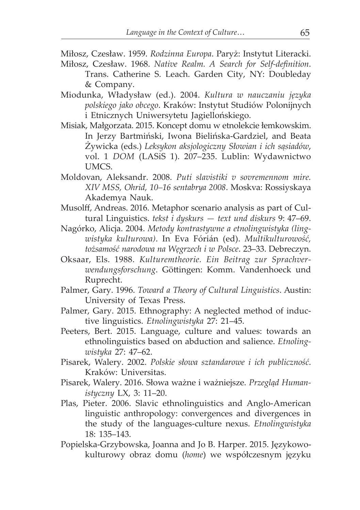- Miłosz, Czesław. 1959. *Rodzinna Europa*. Paryż: Instytut Literacki.
- Miłosz, Czesław. 1968. *Native Realm. A Search for Self-definition*. Trans. Catherine S. Leach. Garden City, NY: Doubleday & Company.
- Miodunka, Władysław (ed.). 2004. *Kultura w nauczaniu języka polskiego jako obcego*. Kraków: Instytut Studiów Polonijnych i Etnicznych Uniwersytetu Jagiellońskiego.
- Misiak, Małgorzata. 2015. Koncept domu w etnolekcie łemkowskim. In Jerzy Bartmiński, Iwona Bielińska-Gardziel, and Beata Żywicka (eds.) *Leksykon aksjologiczny Słowian i ich sąsiadów*, vol. 1 *DOM* (LASiS 1). 207–235. Lublin: Wydawnictwo UMCS.
- Moldovan, Aleksandr. 2008. *Puti slavistiki v sovremennom mire. XIV MSS, Ohrid, 10–16 sentabrya 2008*. Moskva: Rossiyskaya Akademya Nauk.
- Musolff, Andreas. 2016. Metaphor scenario analysis as part of Cultural Linguistics. *tekst i dyskurs — text und diskurs* 9: 47–69.
- Nagórko, Alicja. 2004. *Metody kontrastywne a etnolingwistyka (lingwistyka kulturowa)*. In Eva Fórián (ed). *Multikulturowość, tożsamość narodowa na Węgrzech i w Polsce*. 23–33. Debreczyn.
- Oksaar, Els. 1988. *Kulturemtheorie. Ein Beitrag zur Sprachverwendungsforschung*. Göttingen: Komm. Vandenhoeck und Ruprecht.
- Palmer, Gary. 1996. *Toward a Theory of Cultural Linguistics*. Austin: University of Texas Press.
- Palmer, Gary. 2015. Ethnography: A neglected method of inductive linguistics. *Etnolingwistyka* 27: 21–45.
- Peeters, Bert. 2015. Language, culture and values: towards an ethnolinguistics based on abduction and salience. *Etnolingwistyka* 27: 47–62.
- Pisarek, Walery. 2002. *Polskie słowa sztandarowe i ich publiczność*. Kraków: Universitas.
- Pisarek, Walery. 2016. Słowa ważne i ważniejsze. *Przegląd Humanistyczny* LX, 3: 11–20.
- Plas, Pieter. 2006. Slavic ethnolinguistics and Anglo-American linguistic anthropology: convergences and divergences in the study of the languages-culture nexus. *Etnolingwistyka* 18: 135–143.
- Popielska-Grzybowska, Joanna and Jo B. Harper. 2015. Językowokulturowy obraz domu (*home*) we współczesnym języku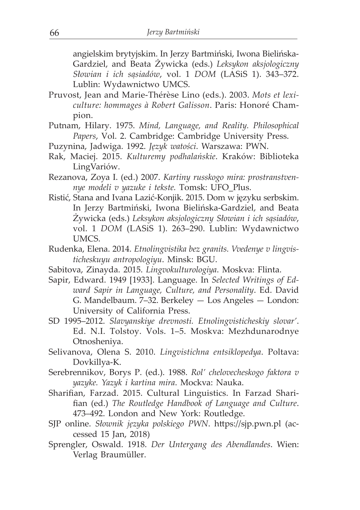angielskim brytyjskim. In Jerzy Bartmiński, Iwona Bielińska-Gardziel, and Beata Żywicka (eds.) *Leksykon aksjologiczny Słowian i ich sąsiadów*, vol. 1 *DOM* (LASiS 1). 343–372. Lublin: Wydawnictwo UMCS.

- Pruvost, Jean and Marie-Thérèse Lino (eds.). 2003. *Mots et lexiculture: hommages à Robert Galisson*. Paris: Honoré Champion.
- Putnam, Hilary. 1975. *Mind, Language, and Reality. Philosophical Papers*, Vol. 2. Cambridge: Cambridge University Press.
- Puzynina, Jadwiga. 1992. *Język watości*. Warszawa: PWN.
- Rak, Maciej. 2015. *Kulturemy podhalańskie*. Kraków: Biblioteka LingVariów.
- Rezanova, Zoya I. (ed.) 2007. *Kartiny russkogo mira: prostranstvennye modeli v yazuke i tekste.* Тоmsk: UFO\_Plus.
- Ristić, Stana and Ivana Lazić-Konjik. 2015. Dom w języku serbskim. In Jerzy Bartmiński, Iwona Bielińska-Gardziel, and Beata Żywicka (eds.) *Leksykon aksjologiczny Słowian i ich sąsiadów*, vol. 1 *DOM* (LASiS 1). 263–290. Lublin: Wydawnictwo UMCS.
- Rudenka, Elena. 2014. *Etnolingvistika bez granits. Vvedenye v lingvisticheskuyu antropologiyu*. Мinsk: BGU.
- Sabitova, Zinayda. 2015. *Lingvokulturologiya*. Моskva: Flinta.
- Sapir, Edward. 1949 [1933]. Language. In *Selected Writings of Edward Sapir in Language, Culture, and Personality*. Ed. David G. Mandelbaum. 7–32. Berkeley — Los Angeles — London: University of California Press.
- SD 1995–2012. *Slavyanskiye drevnosti. Etnolingvisticheskiy slovar'*. Ed. N.I. Tolstoy. Vols. 1–5. Moskva: Mezhdunarodnye Otnosheniya.
- Selivanova, Olena S. 2010. *Lingvistichna entsiklopedya*. Poltava: Dovkillya-K.
- Serebrennikov, Borys P. (ed.). 1988. *Rol' chelovecheskogo faktora v yazyke. Yazyk i kartina mira*. Мосkva: Nauka.
- Sharifian, Farzad. 2015. Cultural Linguistics. In Farzad Sharifian (ed.) *The Routledge Handbook of Language and Culture*. 473–492. London and New York: Routledge.
- SJP online. *Słownik języka polskiego PWN*. https://sjp.pwn.pl (accessed 15 Jan, 2018)
- Sprengler, Oswald. 1918. *Der Untergang des Abendlandes*. Wien: Verlag Braumüller.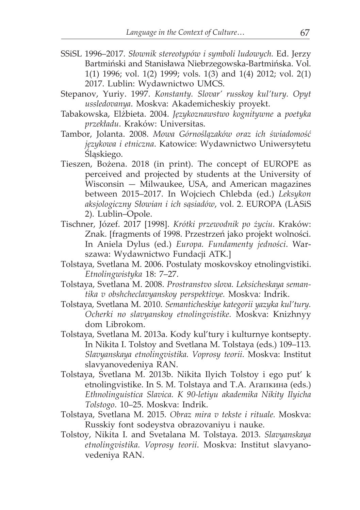- SSiSL 1996–2017. *Słownik stereotypów i symboli ludowych.* Ed. Jerzy Bartmiński and Stanisława Niebrzegowska-Bartmińska. Vol. 1(1) 1996; vol. 1(2) 1999; vols. 1(3) and 1(4) 2012; vol. 2(1) 2017. Lublin: Wydawnictwo UMCS.
- Stepanov, Yuriy. 1997. *Konstanty. Slovar' russkoy kul'tury. Opyt ussledovanya*. Моskva: Аkademicheskiy proyekt.
- Tabakowska, Elżbieta. 2004. *Językoznawstwo kognitywne* a *poetyka przekładu*. Kraków: Universitas.
- Tambor, Jolanta. 2008. *Mowa Górnoślązaków oraz ich świadomość językowa i etniczna*. Katowice: Wydawnictwo Uniwersytetu Śląskiego.
- Tieszen, Bożena. 2018 (in print). The concept of EUROPE as perceived and projected by students at the University of Wisconsin — Milwaukee, USA, and American magazines between 2015–2017. In Wojciech Chlebda (ed.) *Leksykon aksjologiczny Słowian i ich sąsiadów*, vol. 2. EUROPA (LASiS 2). Lublin–Opole.
- Tischner, Józef. 2017 [1998]. *Krótki przewodnik po życiu*. Kraków: Znak. [fragments of 1998. Przestrzeń jako projekt wolności. In Aniela Dylus (ed.) *Europa. Fundamenty jedności*. Warszawa: Wydawnictwo Fundacji ATK.]
- Tolstaya, Svetlana M. 2006. Postulaty moskovskoy etnolingvistiki. *Etnolingwistyka* 18: 7–27.
- Tolstaya, Svetlana M. 2008. *Prostranstvo slova. Leksicheskaya semantika v оbshcheclavyanskoy perspektivye.* Моskva*:* Indrik.
- Tolstaya, Svetlana M. 2010. *Semanticheskiye kategorii yazyka kul'tury. Ocherki no slavyanskoy etnolingvistike.* Моskva: Knizhnyy dom Librokom.
- Tolstaya, Svetlana M. 2013a. Коdy kul'tury i kulturnye kontsepty. In Nikita I. Tоlstoy and Svetlana M. Тоlstaya (eds.) 109–113. *Slavyanskaya etnolingvistika. Voprosy teorii*. Моskva: Institut slavyanovedeniya RAN.
- Tolstaya, Svetlana M. 2013b. Nikita Ilyich Tolstoy i ego put' k etnolingvistike. In S. М. Тоlstaya and Т.А. Агапкина (eds.) *Ethnolinguistica Slavica. K 90-letiyu аkademika Nikity Ilyicha Tolstogo*. 10–25. Моskva: Indrik.
- Tolstaya, Svetlana M. 2015. *Оbraz mira v tekste i rituale.* Моskva: Russkiy font sodeystva obrazovaniyu i nauke.
- Tolstoy, Nikita I. and Svetalana M. Tolstaya. 2013. *Slavyanskaya etnolingvistika. Voprosy teorii*. Моskva: Institut slavyanovedeniya RAN.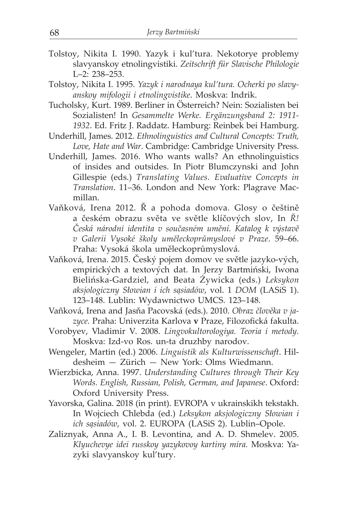- Tolstoy, Nikita I. 1990. Yazyk i kul'tura. Nekotorye problemy slavyanskoy etnolingvistiki. *Zeitschrift für Slavische Philologie* L–2: 238–253.
- Tolstoy, Nikita I. 1995. *Yazyk i narodnaya kul'tura. Ocherki po slavyanskoy mifologii i etnolingvistike*. Moskva: Indrik.
- Tucholsky, Kurt. 1989. Berliner in Österreich? Nein: Sozialisten bei Sozialisten! In *Gesammelte Werke. Ergänzungsband 2: 1911- 1932*. Ed. Fritz J. Raddatz. Hamburg: Reinbek bei Hamburg.
- Underhill, James. 2012. *Ethnolinguistics and Cultural Concepts: Truth, Love, Hate and War*. Cambridge: Cambridge University Press.
- Underhill, James. 2016. Who wants walls? An ethnolinguistics of insides and outsides. In Piotr Blumczynski and John Gillespie (eds.) *Translating Values. Evaluative Concepts in Translation*. 11–36. London and New York: Plagrave Macmillan.
- Vaňková, Irena 2012. Ř a pohoda domova. Glosy o češtině a českém obrazu světa ve světle klíčových slov, In *Ř! Česká národní identita v současném umění. Katalog k výstavě v Galerii Vysoké školy uměleckoprůmyslové v Praze*. 59–66. Praha: Vysoká škola uměleckoprůmyslová.
- Vaňková, Irena. 2015. Český pojem domov ve světle jazyko-vých, empirických a textových dat. In Jerzy Bartmiński, Iwona Bielińska-Gardziel, and Beata Żywicka (eds.) *Leksykon aksjologiczny Słowian i ich sąsiadów*, vol. 1 *DOM* (LASiS 1). 123–148. Lublin: Wydawnictwo UMCS. 123–148.
- Vañková, Irena and Jasňa Pacovská (eds.). 2010. *Obraz člověka v jazyce.* Praha: Univerzita Karlova **v** Praze, Filozofická fakulta.
- Vorobyev, Vladimir V. 2008. *Lingvokultorologiya. Teoria i metody.* Моskva: Izd-vo Ros. un-tа druzhby narodov.
- Wengeler, Martin (ed.) 2006. *Linguistik als Kulturwissenschaft*. Hildesheim — Zürich — New York: Olms Wiedmann.
- Wierzbicka, Anna. 1997. *Understanding Cultures through Their Key Words. English, Russian, Polish, German, and Japanese*. Oxford: Oxford University Press.
- Yavorska, Galina. 2018 (in print). ЕVROPA v ukrainskikh tekstakh. In Wojciech Chlebda (ed.) *Leksykon aksjologiczny Słowian i ich sąsiadów*, vol. 2. EUROPA (LASiS 2). Lublin–Opole.
- Zaliznyak, Anna A., I. B. Levontina, and A. D. Shmelev. 2005. *Кlyuchevye idei russkoy yazykovoy kartiny mira.* Моskva: Yazyki slavyanskoy kul'tury.